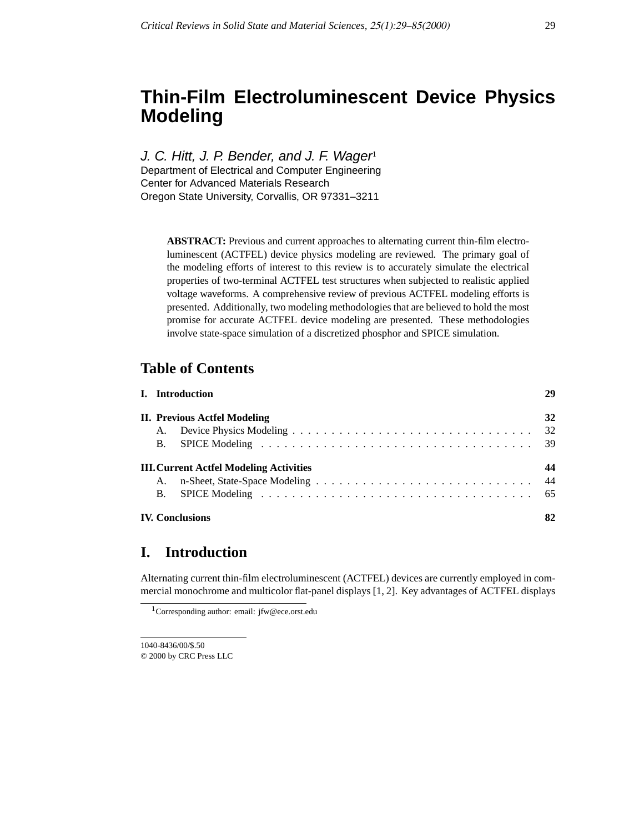# **Thin-Film Electroluminescent Device Physics Modeling**

J. C. Hitt, J. P. Bender, and J. F. Wager Department of Electrical and Computer Engineering Center for Advanced Materials Research Oregon State University, Corvallis, OR 97331–3211

> **ABSTRACT:** Previous and current approaches to alternating current thin-film electroluminescent (ACTFEL) device physics modeling are reviewed. The primary goal of the modeling efforts of interest to this review is to accurately simulate the electrical properties of two-terminal ACTFEL test structures when subjected to realistic applied voltage waveforms. A comprehensive review of previous ACTFEL modeling efforts is presented. Additionally, two modeling methodologies that are believed to hold the most promise for accurate ACTFEL device modeling are presented. These methodologies involve state-space simulation of a discretized phosphor and SPICE simulation.

### **Table of Contents**

|                        | I. Introduction                         | 29  |  |  |  |  |  |
|------------------------|-----------------------------------------|-----|--|--|--|--|--|
|                        | <b>II. Previous Actfel Modeling</b>     | 32  |  |  |  |  |  |
| A.                     |                                         |     |  |  |  |  |  |
| <b>B.</b>              |                                         |     |  |  |  |  |  |
|                        | III. Current Actfel Modeling Activities | 44  |  |  |  |  |  |
|                        |                                         | -44 |  |  |  |  |  |
| <b>B.</b>              |                                         |     |  |  |  |  |  |
| <b>IV. Conclusions</b> |                                         |     |  |  |  |  |  |

### **I. Introduction**

Alternating current thin-film electroluminescent (ACTFEL) devices are currently employed in commercial monochrome and multicolor flat-panel displays [1, 2]. Key advantages of ACTFEL displays

1040-8436/00/\$.50 © 2000 by CRC Press LLC

<sup>1</sup>Corresponding author: email: jfw@ece.orst.edu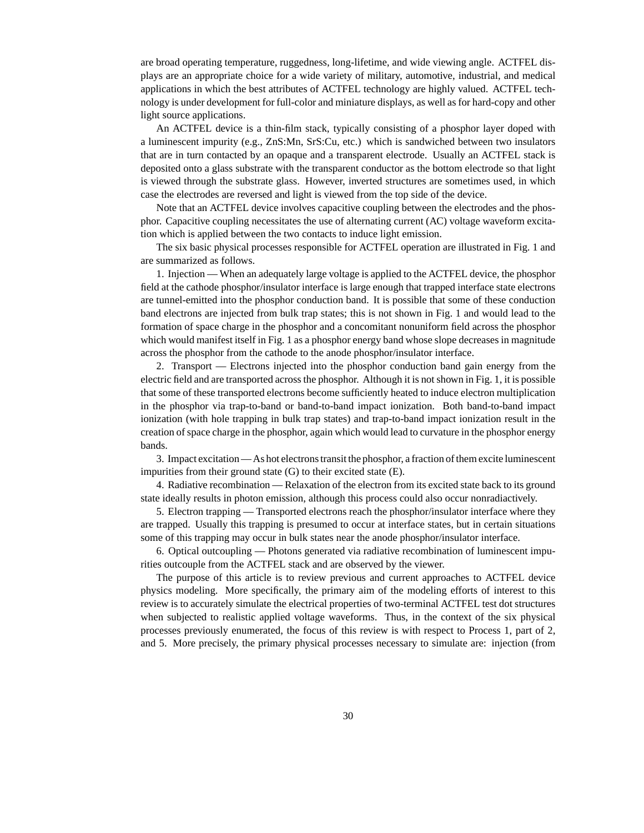are broad operating temperature, ruggedness, long-lifetime, and wide viewing angle. ACTFEL displays are an appropriate choice for a wide variety of military, automotive, industrial, and medical applications in which the best attributes of ACTFEL technology are highly valued. ACTFEL technology is under development for full-color and miniature displays, as well as for hard-copy and other light source applications.

An ACTFEL device is a thin-film stack, typically consisting of a phosphor layer doped with a luminescent impurity (e.g., ZnS:Mn, SrS:Cu, etc.) which is sandwiched between two insulators that are in turn contacted by an opaque and a transparent electrode. Usually an ACTFEL stack is deposited onto a glass substrate with the transparent conductor as the bottom electrode so that light is viewed through the substrate glass. However, inverted structures are sometimes used, in which case the electrodes are reversed and light is viewed from the top side of the device.

Note that an ACTFEL device involves capacitive coupling between the electrodes and the phosphor. Capacitive coupling necessitates the use of alternating current (AC) voltage waveform excitation which is applied between the two contacts to induce light emission.

The six basic physical processes responsible for ACTFEL operation are illustrated in Fig. 1 and are summarized as follows.

1. Injection — When an adequately large voltage is applied to the ACTFEL device, the phosphor field at the cathode phosphor/insulator interface is large enough that trapped interface state electrons are tunnel-emitted into the phosphor conduction band. It is possible that some of these conduction band electrons are injected from bulk trap states; this is not shown in Fig. 1 and would lead to the formation of space charge in the phosphor and a concomitant nonuniform field across the phosphor which would manifest itself in Fig. 1 as a phosphor energy band whose slope decreases in magnitude across the phosphor from the cathode to the anode phosphor/insulator interface.

2. Transport — Electrons injected into the phosphor conduction band gain energy from the electric field and are transported across the phosphor. Although it is not shown in Fig. 1, it is possible that some of these transported electrons become sufficiently heated to induce electron multiplication in the phosphor via trap-to-band or band-to-band impact ionization. Both band-to-band impact ionization (with hole trapping in bulk trap states) and trap-to-band impact ionization result in the creation of space charge in the phosphor, again which would lead to curvature in the phosphor energy bands.

3. Impact excitation — As hot electrons transit the phosphor, a fraction of them excite luminescent impurities from their ground state (G) to their excited state (E).

4. Radiative recombination — Relaxation of the electron from its excited state back to its ground state ideally results in photon emission, although this process could also occur nonradiactively.

5. Electron trapping — Transported electrons reach the phosphor/insulator interface where they are trapped. Usually this trapping is presumed to occur at interface states, but in certain situations some of this trapping may occur in bulk states near the anode phosphor/insulator interface.

6. Optical outcoupling — Photons generated via radiative recombination of luminescent impurities outcouple from the ACTFEL stack and are observed by the viewer.

The purpose of this article is to review previous and current approaches to ACTFEL device physics modeling. More specifically, the primary aim of the modeling efforts of interest to this review is to accurately simulate the electrical properties of two-terminal ACTFEL test dot structures when subjected to realistic applied voltage waveforms. Thus, in the context of the six physical processes previously enumerated, the focus of this review is with respect to Process 1, part of 2, and 5. More precisely, the primary physical processes necessary to simulate are: injection (from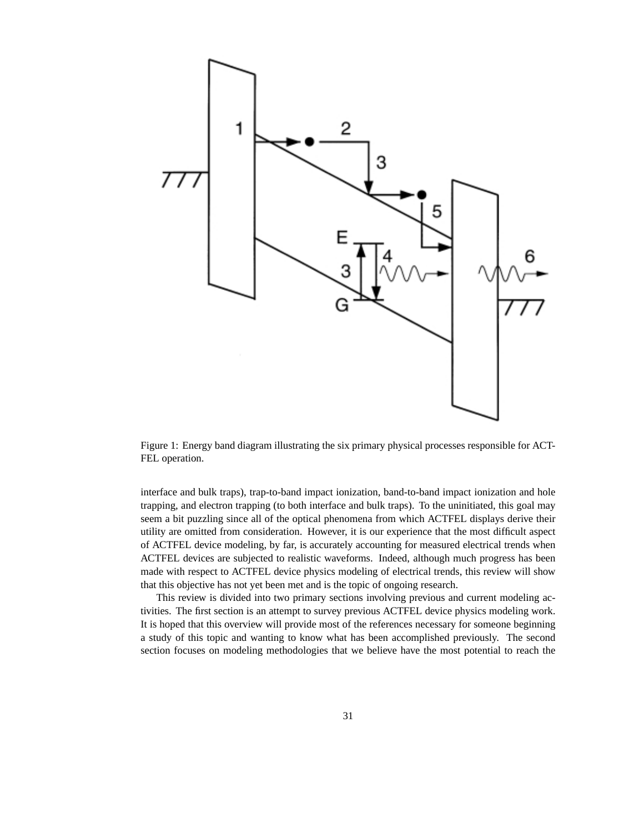

Figure 1: Energy band diagram illustrating the six primary physical processes responsible for ACT-FEL operation.

interface and bulk traps), trap-to-band impact ionization, band-to-band impact ionization and hole trapping, and electron trapping (to both interface and bulk traps). To the uninitiated, this goal may seem a bit puzzling since all of the optical phenomena from which ACTFEL displays derive their utility are omitted from consideration. However, it is our experience that the most difficult aspect of ACTFEL device modeling, by far, is accurately accounting for measured electrical trends when ACTFEL devices are subjected to realistic waveforms. Indeed, although much progress has been made with respect to ACTFEL device physics modeling of electrical trends, this review will show that this objective has not yet been met and is the topic of ongoing research.

This review is divided into two primary sections involving previous and current modeling activities. The first section is an attempt to survey previous ACTFEL device physics modeling work. It is hoped that this overview will provide most of the references necessary for someone beginning a study of this topic and wanting to know what has been accomplished previously. The second section focuses on modeling methodologies that we believe have the most potential to reach the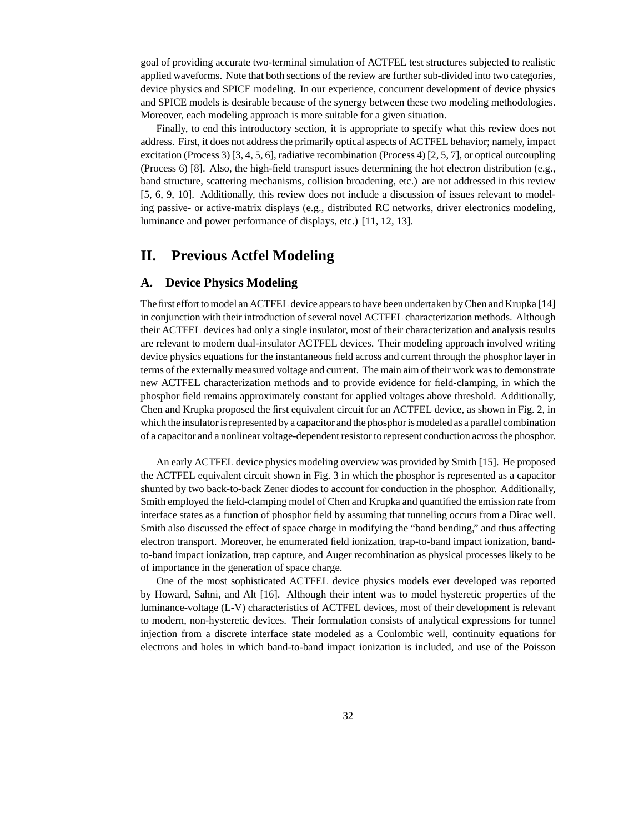goal of providing accurate two-terminal simulation of ACTFEL test structures subjected to realistic applied waveforms. Note that both sections of the review are further sub-divided into two categories, device physics and SPICE modeling. In our experience, concurrent development of device physics and SPICE models is desirable because of the synergy between these two modeling methodologies. Moreover, each modeling approach is more suitable for a given situation.

Finally, to end this introductory section, it is appropriate to specify what this review does not address. First, it does not address the primarily optical aspects of ACTFEL behavior; namely, impact excitation (Process 3) [3, 4, 5, 6], radiative recombination (Process 4) [2, 5, 7], or optical outcoupling (Process 6) [8]. Also, the high-field transport issues determining the hot electron distribution (e.g., band structure, scattering mechanisms, collision broadening, etc.) are not addressed in this review [5, 6, 9, 10]. Additionally, this review does not include a discussion of issues relevant to modeling passive- or active-matrix displays (e.g., distributed RC networks, driver electronics modeling, luminance and power performance of displays, etc.) [11, 12, 13].

### **II. Previous Actfel Modeling**

#### **A. Device Physics Modeling**

The first effort to model an ACTFEL device appears to have been undertaken by Chen and Krupka [14] in conjunction with their introduction of several novel ACTFEL characterization methods. Although their ACTFEL devices had only a single insulator, most of their characterization and analysis results are relevant to modern dual-insulator ACTFEL devices. Their modeling approach involved writing device physics equations for the instantaneous field across and current through the phosphor layer in terms of the externally measured voltage and current. The main aim of their work was to demonstrate new ACTFEL characterization methods and to provide evidence for field-clamping, in which the phosphor field remains approximately constant for applied voltages above threshold. Additionally, Chen and Krupka proposed the first equivalent circuit for an ACTFEL device, as shown in Fig. 2, in which the insulator is represented by a capacitor and the phosphor is modeled as a parallel combination of a capacitor and a nonlinear voltage-dependent resistor to represent conduction across the phosphor.

An early ACTFEL device physics modeling overview was provided by Smith [15]. He proposed the ACTFEL equivalent circuit shown in Fig. 3 in which the phosphor is represented as a capacitor shunted by two back-to-back Zener diodes to account for conduction in the phosphor. Additionally, Smith employed the field-clamping model of Chen and Krupka and quantified the emission rate from interface states as a function of phosphor field by assuming that tunneling occurs from a Dirac well. Smith also discussed the effect of space charge in modifying the "band bending," and thus affecting electron transport. Moreover, he enumerated field ionization, trap-to-band impact ionization, bandto-band impact ionization, trap capture, and Auger recombination as physical processes likely to be of importance in the generation of space charge.

One of the most sophisticated ACTFEL device physics models ever developed was reported by Howard, Sahni, and Alt [16]. Although their intent was to model hysteretic properties of the luminance-voltage (L-V) characteristics of ACTFEL devices, most of their development is relevant to modern, non-hysteretic devices. Their formulation consists of analytical expressions for tunnel injection from a discrete interface state modeled as a Coulombic well, continuity equations for electrons and holes in which band-to-band impact ionization is included, and use of the Poisson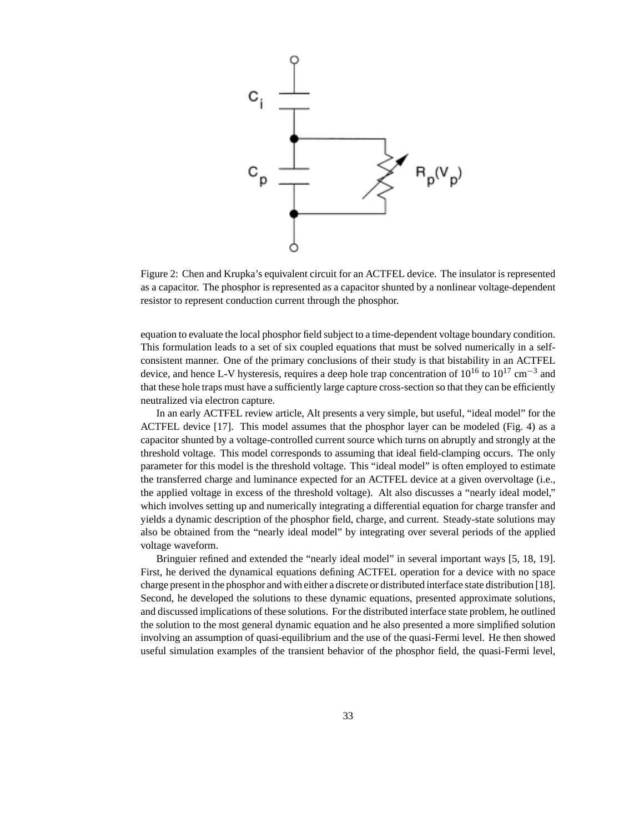

Figure 2: Chen and Krupka's equivalent circuit for an ACTFEL device. The insulator is represented as a capacitor. The phosphor is represented as a capacitor shunted by a nonlinear voltage-dependent resistor to represent conduction current through the phosphor.

equation to evaluate the local phosphor field subject to a time-dependent voltage boundary condition. This formulation leads to a set of six coupled equations that must be solved numerically in a selfconsistent manner. One of the primary conclusions of their study is that bistability in an ACTFEL device, and hence L-V hysteresis, requires a deep hole trap concentration of  $10^{16}$  to  $10^{17}$  cm<sup>-3</sup> and that these hole traps must have a sufficiently large capture cross-section so that they can be efficiently neutralized via electron capture.

In an early ACTFEL review article, Alt presents a very simple, but useful, "ideal model" for the ACTFEL device [17]. This model assumes that the phosphor layer can be modeled (Fig. 4) as a capacitor shunted by a voltage-controlled current source which turns on abruptly and strongly at the threshold voltage. This model corresponds to assuming that ideal field-clamping occurs. The only parameter for this model is the threshold voltage. This "ideal model" is often employed to estimate the transferred charge and luminance expected for an ACTFEL device at a given overvoltage (i.e., the applied voltage in excess of the threshold voltage). Alt also discusses a "nearly ideal model," which involves setting up and numerically integrating a differential equation for charge transfer and yields a dynamic description of the phosphor field, charge, and current. Steady-state solutions may also be obtained from the "nearly ideal model" by integrating over several periods of the applied voltage waveform.

Bringuier refined and extended the "nearly ideal model" in several important ways [5, 18, 19]. First, he derived the dynamical equations defining ACTFEL operation for a device with no space charge present in the phosphor and with either a discrete or distributed interface state distribution [18]. Second, he developed the solutions to these dynamic equations, presented approximate solutions, and discussed implications of these solutions. For the distributed interface state problem, he outlined the solution to the most general dynamic equation and he also presented a more simplified solution involving an assumption of quasi-equilibrium and the use of the quasi-Fermi level. He then showed useful simulation examples of the transient behavior of the phosphor field, the quasi-Fermi level,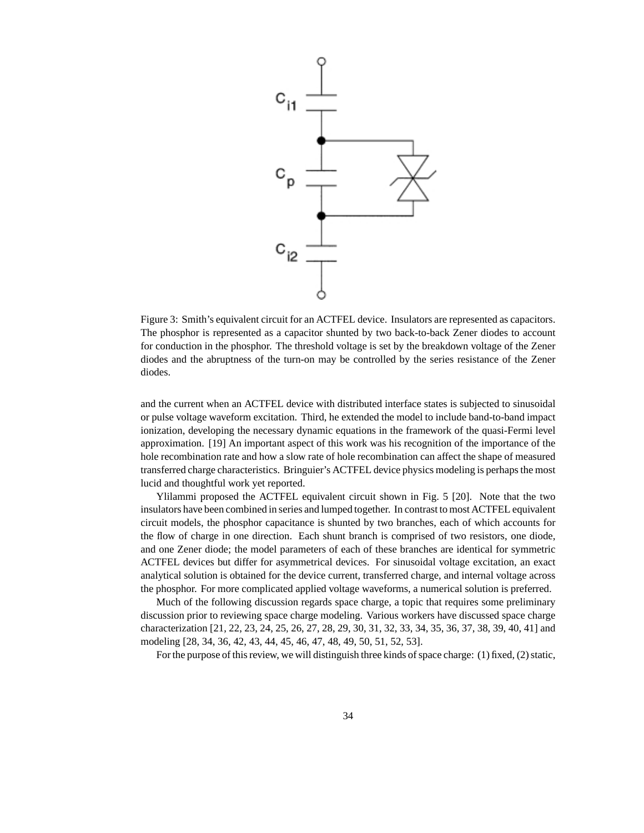

Figure 3: Smith's equivalent circuit for an ACTFEL device. Insulators are represented as capacitors. The phosphor is represented as a capacitor shunted by two back-to-back Zener diodes to account for conduction in the phosphor. The threshold voltage is set by the breakdown voltage of the Zener diodes and the abruptness of the turn-on may be controlled by the series resistance of the Zener diodes.

and the current when an ACTFEL device with distributed interface states is subjected to sinusoidal or pulse voltage waveform excitation. Third, he extended the model to include band-to-band impact ionization, developing the necessary dynamic equations in the framework of the quasi-Fermi level approximation. [19] An important aspect of this work was his recognition of the importance of the hole recombination rate and how a slow rate of hole recombination can affect the shape of measured transferred charge characteristics. Bringuier's ACTFEL device physics modeling is perhaps the most lucid and thoughtful work yet reported.

Ylilammi proposed the ACTFEL equivalent circuit shown in Fig. 5 [20]. Note that the two insulators have been combined in series and lumped together. In contrast to most ACTFEL equivalent circuit models, the phosphor capacitance is shunted by two branches, each of which accounts for the flow of charge in one direction. Each shunt branch is comprised of two resistors, one diode, and one Zener diode; the model parameters of each of these branches are identical for symmetric ACTFEL devices but differ for asymmetrical devices. For sinusoidal voltage excitation, an exact analytical solution is obtained for the device current, transferred charge, and internal voltage across the phosphor. For more complicated applied voltage waveforms, a numerical solution is preferred.

Much of the following discussion regards space charge, a topic that requires some preliminary discussion prior to reviewing space charge modeling. Various workers have discussed space charge characterization [21, 22, 23, 24, 25, 26, 27, 28, 29, 30, 31, 32, 33, 34, 35, 36, 37, 38, 39, 40, 41] and modeling [28, 34, 36, 42, 43, 44, 45, 46, 47, 48, 49, 50, 51, 52, 53].

For the purpose of this review, we will distinguish three kinds of space charge: (1) fixed, (2) static,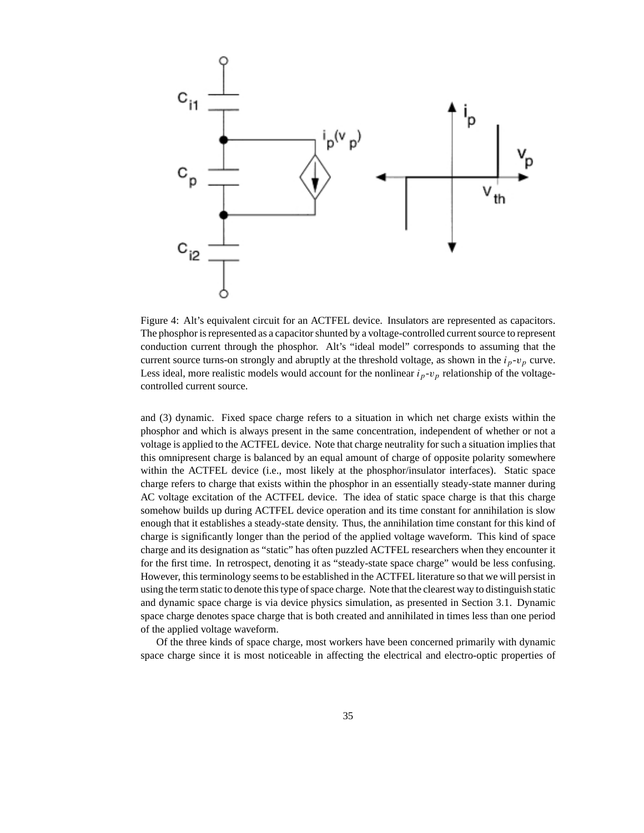

Figure 4: Alt's equivalent circuit for an ACTFEL device. Insulators are represented as capacitors. The phosphor is represented as a capacitor shunted by a voltage-controlled current source to represent conduction current through the phosphor. Alt's "ideal model" corresponds to assuming that the current source turns-on strongly and abruptly at the threshold voltage, as shown in the  $i_p$ - $v_p$  curve. Less ideal, more realistic models would account for the nonlinear  $i_p$ - $v_p$  relationship of the voltagecontrolled current source.

and (3) dynamic. Fixed space charge refers to a situation in which net charge exists within the phosphor and which is always present in the same concentration, independent of whether or not a voltage is applied to the ACTFEL device. Note that charge neutrality for such a situation implies that this omnipresent charge is balanced by an equal amount of charge of opposite polarity somewhere within the ACTFEL device (i.e., most likely at the phosphor/insulator interfaces). Static space charge refers to charge that exists within the phosphor in an essentially steady-state manner during AC voltage excitation of the ACTFEL device. The idea of static space charge is that this charge somehow builds up during ACTFEL device operation and its time constant for annihilation is slow enough that it establishes a steady-state density. Thus, the annihilation time constant for this kind of charge is significantly longer than the period of the applied voltage waveform. This kind of space charge and its designation as "static" has often puzzled ACTFEL researchers when they encounter it for the first time. In retrospect, denoting it as "steady-state space charge" would be less confusing. However, this terminology seems to be established in the ACTFEL literature so that we will persist in using the term static to denote this type of space charge. Note that the clearest way to distinguish static and dynamic space charge is via device physics simulation, as presented in Section 3.1. Dynamic space charge denotes space charge that is both created and annihilated in times less than one period of the applied voltage waveform.

Of the three kinds of space charge, most workers have been concerned primarily with dynamic space charge since it is most noticeable in affecting the electrical and electro-optic properties of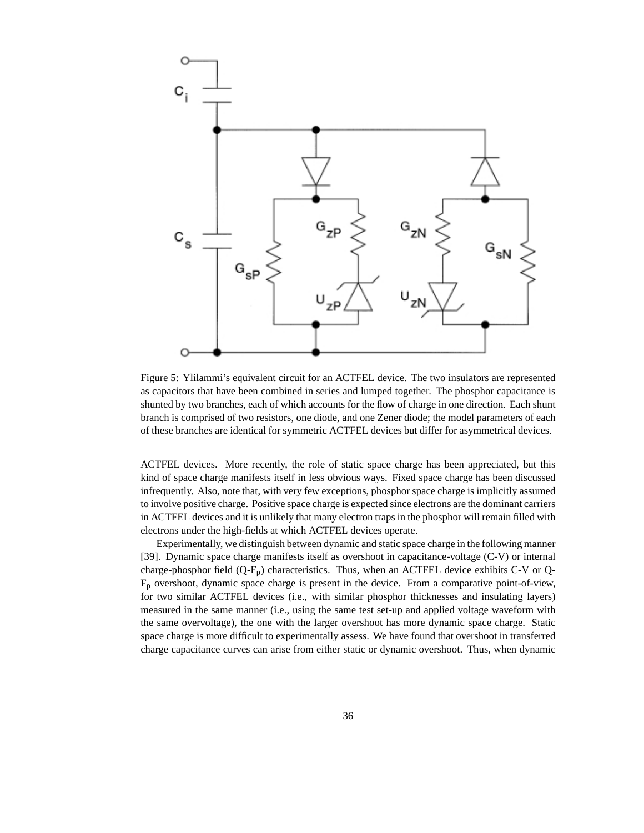

Figure 5: Ylilammi's equivalent circuit for an ACTFEL device. The two insulators are represented as capacitors that have been combined in series and lumped together. The phosphor capacitance is shunted by two branches, each of which accounts for the flow of charge in one direction. Each shunt branch is comprised of two resistors, one diode, and one Zener diode; the model parameters of each of these branches are identical for symmetric ACTFEL devices but differ for asymmetrical devices.

ACTFEL devices. More recently, the role of static space charge has been appreciated, but this kind of space charge manifests itself in less obvious ways. Fixed space charge has been discussed infrequently. Also, note that, with very few exceptions, phosphor space charge is implicitly assumed to involve positive charge. Positive space charge is expected since electrons are the dominant carriers in ACTFEL devices and it is unlikely that many electron traps in the phosphor will remain filled with electrons under the high-fields at which ACTFEL devices operate.

Experimentally, we distinguish between dynamic and static space charge in the following manner [39]. Dynamic space charge manifests itself as overshoot in capacitance-voltage (C-V) or internal charge-phosphor field  $(Q-F_p)$  characteristics. Thus, when an ACTFEL device exhibits C-V or Q-Fp overshoot, dynamic space charge is present in the device. From a comparative point-of-view, for two similar ACTFEL devices (i.e., with similar phosphor thicknesses and insulating layers) measured in the same manner (i.e., using the same test set-up and applied voltage waveform with the same overvoltage), the one with the larger overshoot has more dynamic space charge. Static space charge is more difficult to experimentally assess. We have found that overshoot in transferred charge capacitance curves can arise from either static or dynamic overshoot. Thus, when dynamic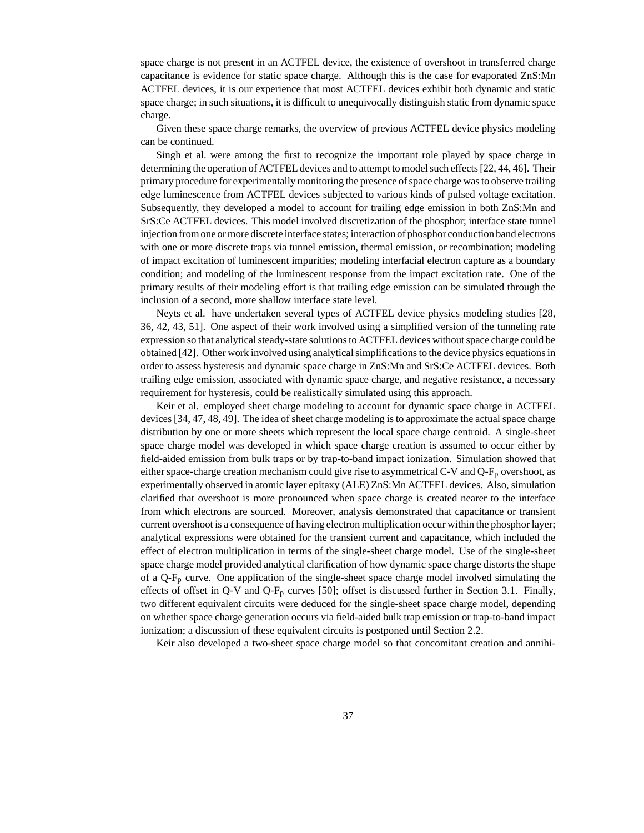space charge is not present in an ACTFEL device, the existence of overshoot in transferred charge capacitance is evidence for static space charge. Although this is the case for evaporated ZnS:Mn ACTFEL devices, it is our experience that most ACTFEL devices exhibit both dynamic and static space charge; in such situations, it is difficult to unequivocally distinguish static from dynamic space charge.

Given these space charge remarks, the overview of previous ACTFEL device physics modeling can be continued.

Singh et al. were among the first to recognize the important role played by space charge in determining the operation of ACTFEL devices and to attempt to model such effects [22, 44, 46]. Their primary procedure for experimentally monitoring the presence of space charge was to observe trailing edge luminescence from ACTFEL devices subjected to various kinds of pulsed voltage excitation. Subsequently, they developed a model to account for trailing edge emission in both ZnS:Mn and SrS:Ce ACTFEL devices. This model involved discretization of the phosphor; interface state tunnel injection from one or more discrete interface states; interaction of phosphor conduction band electrons with one or more discrete traps via tunnel emission, thermal emission, or recombination; modeling of impact excitation of luminescent impurities; modeling interfacial electron capture as a boundary condition; and modeling of the luminescent response from the impact excitation rate. One of the primary results of their modeling effort is that trailing edge emission can be simulated through the inclusion of a second, more shallow interface state level.

Neyts et al. have undertaken several types of ACTFEL device physics modeling studies [28, 36, 42, 43, 51]. One aspect of their work involved using a simplified version of the tunneling rate expression so that analytical steady-state solutions to ACTFEL devices without space charge could be obtained [42]. Other work involved using analytical simplifications to the device physics equations in order to assess hysteresis and dynamic space charge in ZnS:Mn and SrS:Ce ACTFEL devices. Both trailing edge emission, associated with dynamic space charge, and negative resistance, a necessary requirement for hysteresis, could be realistically simulated using this approach.

Keir et al. employed sheet charge modeling to account for dynamic space charge in ACTFEL devices [34, 47, 48, 49]. The idea of sheet charge modeling is to approximate the actual space charge distribution by one or more sheets which represent the local space charge centroid. A single-sheet space charge model was developed in which space charge creation is assumed to occur either by field-aided emission from bulk traps or by trap-to-band impact ionization. Simulation showed that either space-charge creation mechanism could give rise to asymmetrical C-V and  $Q-F<sub>p</sub>$  overshoot, as experimentally observed in atomic layer epitaxy (ALE) ZnS:Mn ACTFEL devices. Also, simulation clarified that overshoot is more pronounced when space charge is created nearer to the interface from which electrons are sourced. Moreover, analysis demonstrated that capacitance or transient current overshoot is a consequence of having electron multiplication occur within the phosphor layer; analytical expressions were obtained for the transient current and capacitance, which included the effect of electron multiplication in terms of the single-sheet charge model. Use of the single-sheet space charge model provided analytical clarification of how dynamic space charge distorts the shape of a  $Q-F_p$  curve. One application of the single-sheet space charge model involved simulating the effects of offset in Q-V and  $Q-F_p$  curves [50]; offset is discussed further in Section 3.1. Finally, two different equivalent circuits were deduced for the single-sheet space charge model, depending on whether space charge generation occurs via field-aided bulk trap emission or trap-to-band impact ionization; a discussion of these equivalent circuits is postponed until Section 2.2.

Keir also developed a two-sheet space charge model so that concomitant creation and annihi-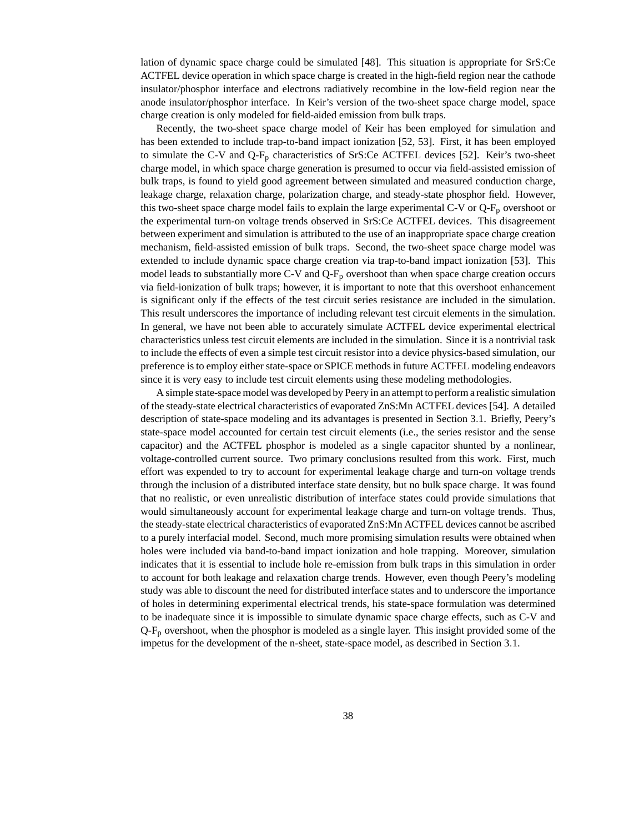lation of dynamic space charge could be simulated [48]. This situation is appropriate for SrS:Ce ACTFEL device operation in which space charge is created in the high-field region near the cathode insulator/phosphor interface and electrons radiatively recombine in the low-field region near the anode insulator/phosphor interface. In Keir's version of the two-sheet space charge model, space charge creation is only modeled for field-aided emission from bulk traps.

Recently, the two-sheet space charge model of Keir has been employed for simulation and has been extended to include trap-to-band impact ionization [52, 53]. First, it has been employed to simulate the C-V and  $Q-F_p$  characteristics of SrS:Ce ACTFEL devices [52]. Keir's two-sheet charge model, in which space charge generation is presumed to occur via field-assisted emission of bulk traps, is found to yield good agreement between simulated and measured conduction charge, leakage charge, relaxation charge, polarization charge, and steady-state phosphor field. However, this two-sheet space charge model fails to explain the large experimental C-V or  $Q-F_p$  overshoot or the experimental turn-on voltage trends observed in SrS:Ce ACTFEL devices. This disagreement between experiment and simulation is attributed to the use of an inappropriate space charge creation mechanism, field-assisted emission of bulk traps. Second, the two-sheet space charge model was extended to include dynamic space charge creation via trap-to-band impact ionization [53]. This model leads to substantially more C-V and  $Q-F_p$  overshoot than when space charge creation occurs via field-ionization of bulk traps; however, it is important to note that this overshoot enhancement is significant only if the effects of the test circuit series resistance are included in the simulation. This result underscores the importance of including relevant test circuit elements in the simulation. In general, we have not been able to accurately simulate ACTFEL device experimental electrical characteristics unless test circuit elements are included in the simulation. Since it is a nontrivial task to include the effects of even a simple test circuit resistor into a device physics-based simulation, our preference is to employ either state-space or SPICE methods in future ACTFEL modeling endeavors since it is very easy to include test circuit elements using these modeling methodologies.

A simple state-space model was developed by Peery in an attempt to perform a realistic simulation of the steady-state electrical characteristics of evaporated ZnS:Mn ACTFEL devices [54]. A detailed description of state-space modeling and its advantages is presented in Section 3.1. Briefly, Peery's state-space model accounted for certain test circuit elements (i.e., the series resistor and the sense capacitor) and the ACTFEL phosphor is modeled as a single capacitor shunted by a nonlinear, voltage-controlled current source. Two primary conclusions resulted from this work. First, much effort was expended to try to account for experimental leakage charge and turn-on voltage trends through the inclusion of a distributed interface state density, but no bulk space charge. It was found that no realistic, or even unrealistic distribution of interface states could provide simulations that would simultaneously account for experimental leakage charge and turn-on voltage trends. Thus, the steady-state electrical characteristics of evaporated ZnS:Mn ACTFEL devices cannot be ascribed to a purely interfacial model. Second, much more promising simulation results were obtained when holes were included via band-to-band impact ionization and hole trapping. Moreover, simulation indicates that it is essential to include hole re-emission from bulk traps in this simulation in order to account for both leakage and relaxation charge trends. However, even though Peery's modeling study was able to discount the need for distributed interface states and to underscore the importance of holes in determining experimental electrical trends, his state-space formulation was determined to be inadequate since it is impossible to simulate dynamic space charge effects, such as C-V and  $Q-F<sub>p</sub>$  overshoot, when the phosphor is modeled as a single layer. This insight provided some of the impetus for the development of the n-sheet, state-space model, as described in Section 3.1.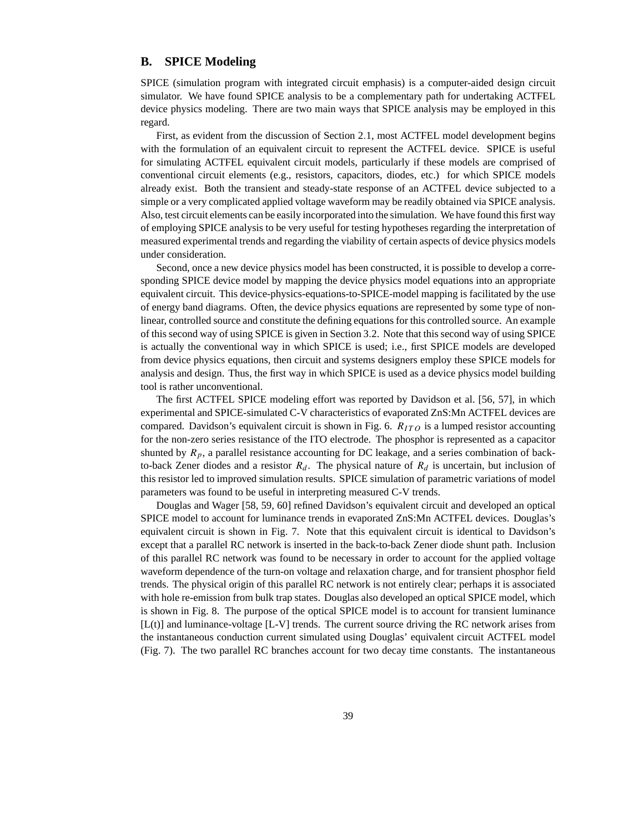#### **B. SPICE Modeling**

SPICE (simulation program with integrated circuit emphasis) is a computer-aided design circuit simulator. We have found SPICE analysis to be a complementary path for undertaking ACTFEL device physics modeling. There are two main ways that SPICE analysis may be employed in this regard.

First, as evident from the discussion of Section 2.1, most ACTFEL model development begins with the formulation of an equivalent circuit to represent the ACTFEL device. SPICE is useful for simulating ACTFEL equivalent circuit models, particularly if these models are comprised of conventional circuit elements (e.g., resistors, capacitors, diodes, etc.) for which SPICE models already exist. Both the transient and steady-state response of an ACTFEL device subjected to a simple or a very complicated applied voltage waveform may be readily obtained via SPICE analysis. Also, test circuit elements can be easily incorporated into the simulation. We have found this first way of employing SPICE analysis to be very useful for testing hypotheses regarding the interpretation of measured experimental trends and regarding the viability of certain aspects of device physics models under consideration.

Second, once a new device physics model has been constructed, it is possible to develop a corresponding SPICE device model by mapping the device physics model equations into an appropriate equivalent circuit. This device-physics-equations-to-SPICE-model mapping is facilitated by the use of energy band diagrams. Often, the device physics equations are represented by some type of nonlinear, controlled source and constitute the defining equations for this controlled source. An example of this second way of using SPICE is given in Section 3.2. Note that this second way of using SPICE is actually the conventional way in which SPICE is used; i.e., first SPICE models are developed from device physics equations, then circuit and systems designers employ these SPICE models for analysis and design. Thus, the first way in which SPICE is used as a device physics model building tool is rather unconventional.

The first ACTFEL SPICE modeling effort was reported by Davidson et al. [56, 57], in which experimental and SPICE-simulated C-V characteristics of evaporated ZnS:Mn ACTFEL devices are compared. Davidson's equivalent circuit is shown in Fig. 6.  $R_{ITO}$  is a lumped resistor accounting for the non-zero series resistance of the ITO electrode. The phosphor is represented as a capacitor shunted by  $R_p$ , a parallel resistance accounting for DC leakage, and a series combination of backto-back Zener diodes and a resistor  $R_d$ . The physical nature of  $R_d$  is uncertain, but inclusion of this resistor led to improved simulation results. SPICE simulation of parametric variations of model parameters was found to be useful in interpreting measured C-V trends.

Douglas and Wager [58, 59, 60] refined Davidson's equivalent circuit and developed an optical SPICE model to account for luminance trends in evaporated ZnS:Mn ACTFEL devices. Douglas's equivalent circuit is shown in Fig. 7. Note that this equivalent circuit is identical to Davidson's except that a parallel RC network is inserted in the back-to-back Zener diode shunt path. Inclusion of this parallel RC network was found to be necessary in order to account for the applied voltage waveform dependence of the turn-on voltage and relaxation charge, and for transient phosphor field trends. The physical origin of this parallel RC network is not entirely clear; perhaps it is associated with hole re-emission from bulk trap states. Douglas also developed an optical SPICE model, which is shown in Fig. 8. The purpose of the optical SPICE model is to account for transient luminance  $[L(t)]$  and luminance-voltage  $[L-V]$  trends. The current source driving the RC network arises from the instantaneous conduction current simulated using Douglas' equivalent circuit ACTFEL model (Fig. 7). The two parallel RC branches account for two decay time constants. The instantaneous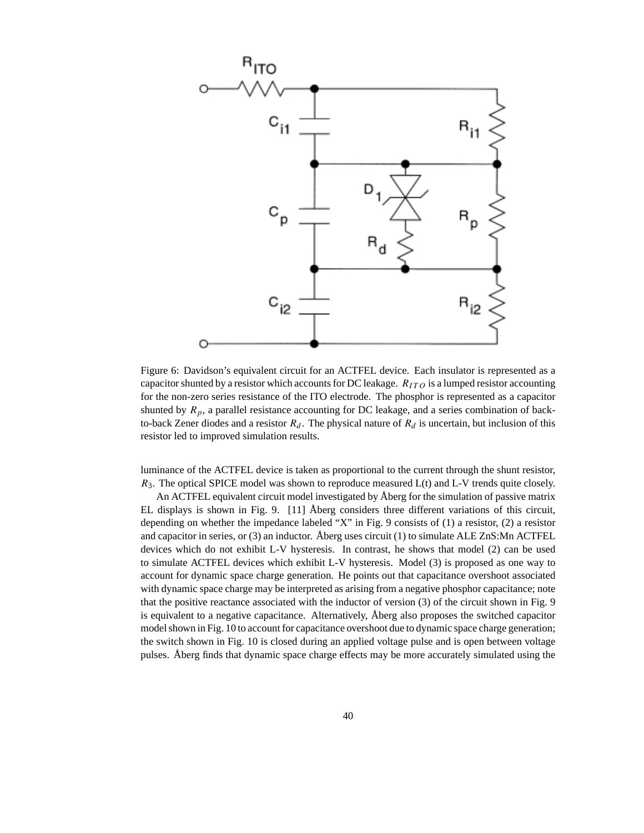

Figure 6: Davidson's equivalent circuit for an ACTFEL device. Each insulator is represented as a capacitor shunted by a resistor which accounts for DC leakage.  $R_{ITO}$  is a lumped resistor accounting for the non-zero series resistance of the ITO electrode. The phosphor is represented as a capacitor shunted by  $R_p$ , a parallel resistance accounting for DC leakage, and a series combination of backto-back Zener diodes and a resistor  $R_d$ . The physical nature of  $R_d$  is uncertain, but inclusion of this resistor led to improved simulation results.

luminance of the ACTFEL device is taken as proportional to the current through the shunt resistor,  $R_3$ . The optical SPICE model was shown to reproduce measured  $L(t)$  and  $L-V$  trends quite closely.

An ACTFEL equivalent circuit model investigated by Åberg for the simulation of passive matrix EL displays is shown in Fig. 9. [11] Åberg considers three different variations of this circuit, depending on whether the impedance labeled "X" in Fig. 9 consists of (1) a resistor, (2) a resistor and capacitor in series, or (3) an inductor. Åberg uses circuit (1) to simulate ALE ZnS:Mn ACTFEL devices which do not exhibit L-V hysteresis. In contrast, he shows that model (2) can be used to simulate ACTFEL devices which exhibit L-V hysteresis. Model (3) is proposed as one way to account for dynamic space charge generation. He points out that capacitance overshoot associated with dynamic space charge may be interpreted as arising from a negative phosphor capacitance; note that the positive reactance associated with the inductor of version (3) of the circuit shown in Fig. 9 is equivalent to a negative capacitance. Alternatively, Åberg also proposes the switched capacitor model shown in Fig. 10 to account for capacitance overshoot due to dynamic space charge generation; the switch shown in Fig. 10 is closed during an applied voltage pulse and is open between voltage pulses. Åberg finds that dynamic space charge effects may be more accurately simulated using the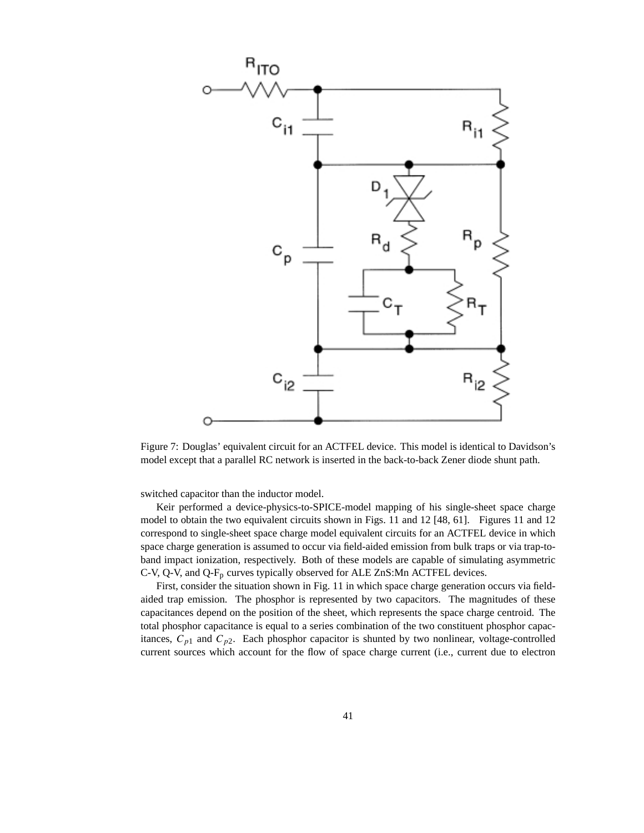

Figure 7: Douglas' equivalent circuit for an ACTFEL device. This model is identical to Davidson's model except that a parallel RC network is inserted in the back-to-back Zener diode shunt path.

switched capacitor than the inductor model.

Keir performed a device-physics-to-SPICE-model mapping of his single-sheet space charge model to obtain the two equivalent circuits shown in Figs. 11 and 12 [48, 61]. Figures 11 and 12 correspond to single-sheet space charge model equivalent circuits for an ACTFEL device in which space charge generation is assumed to occur via field-aided emission from bulk traps or via trap-toband impact ionization, respectively. Both of these models are capable of simulating asymmetric C-V, Q-V, and Q-F<sub>p</sub> curves typically observed for ALE ZnS:Mn ACTFEL devices.

First, consider the situation shown in Fig. 11 in which space charge generation occurs via fieldaided trap emission. The phosphor is represented by two capacitors. The magnitudes of these capacitances depend on the position of the sheet, which represents the space charge centroid. The total phosphor capacitance is equal to a series combination of the two constituent phosphor capacitances,  $C_{p1}$  and  $C_{p2}$ . Each phosphor capacitor is shunted by two nonlinear, voltage-controlled current sources which account for the flow of space charge current (i.e., current due to electron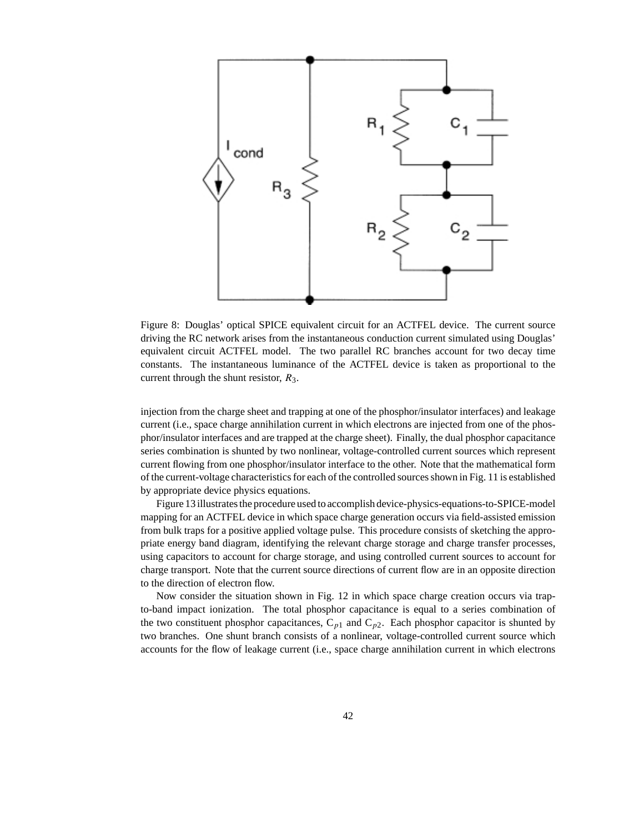

Figure 8: Douglas' optical SPICE equivalent circuit for an ACTFEL device. The current source driving the RC network arises from the instantaneous conduction current simulated using Douglas' equivalent circuit ACTFEL model. The two parallel RC branches account for two decay time constants. The instantaneous luminance of the ACTFEL device is taken as proportional to the current through the shunt resistor,  $R_3$ .

injection from the charge sheet and trapping at one of the phosphor/insulator interfaces) and leakage current (i.e., space charge annihilation current in which electrons are injected from one of the phosphor/insulator interfaces and are trapped at the charge sheet). Finally, the dual phosphor capacitance series combination is shunted by two nonlinear, voltage-controlled current sources which represent current flowing from one phosphor/insulator interface to the other. Note that the mathematical form of the current-voltage characteristics for each of the controlled sources shown in Fig. 11 is established by appropriate device physics equations.

Figure 13 illustrates the procedure used to accomplish device-physics-equations-to-SPICE-model mapping for an ACTFEL device in which space charge generation occurs via field-assisted emission from bulk traps for a positive applied voltage pulse. This procedure consists of sketching the appropriate energy band diagram, identifying the relevant charge storage and charge transfer processes, using capacitors to account for charge storage, and using controlled current sources to account for charge transport. Note that the current source directions of current flow are in an opposite direction to the direction of electron flow.

Now consider the situation shown in Fig. 12 in which space charge creation occurs via trapto-band impact ionization. The total phosphor capacitance is equal to a series combination of the two constituent phosphor capacitances,  $C_{p1}$  and  $C_{p2}$ . Each phosphor capacitor is shunted by two branches. One shunt branch consists of a nonlinear, voltage-controlled current source which accounts for the flow of leakage current (i.e., space charge annihilation current in which electrons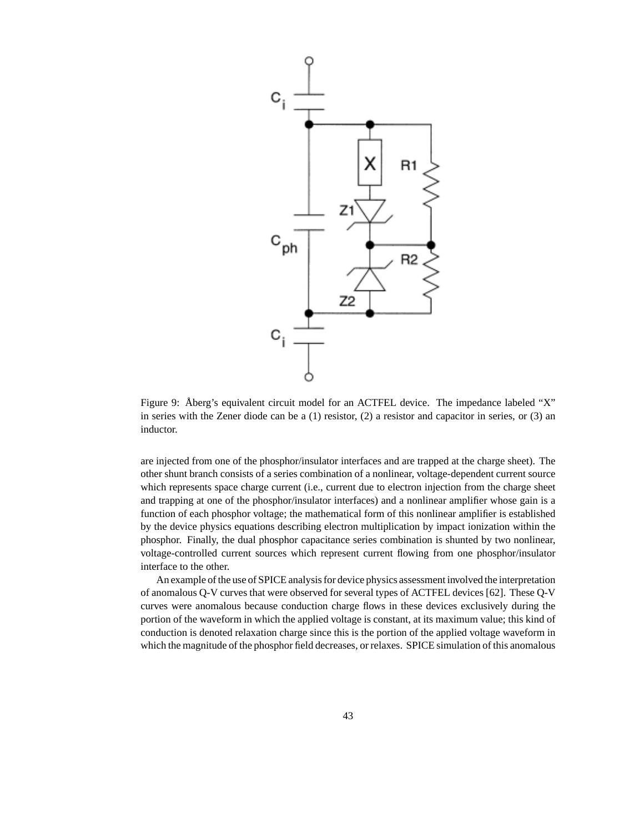

Figure 9: Åberg's equivalent circuit model for an ACTFEL device. The impedance labeled "X" in series with the Zener diode can be a (1) resistor, (2) a resistor and capacitor in series, or (3) an inductor.

are injected from one of the phosphor/insulator interfaces and are trapped at the charge sheet). The other shunt branch consists of a series combination of a nonlinear, voltage-dependent current source which represents space charge current (i.e., current due to electron injection from the charge sheet and trapping at one of the phosphor/insulator interfaces) and a nonlinear amplifier whose gain is a function of each phosphor voltage; the mathematical form of this nonlinear amplifier is established by the device physics equations describing electron multiplication by impact ionization within the phosphor. Finally, the dual phosphor capacitance series combination is shunted by two nonlinear, voltage-controlled current sources which represent current flowing from one phosphor/insulator interface to the other.

An example of the use of SPICE analysis for device physics assessment involved the interpretation of anomalous Q-V curves that were observed for several types of ACTFEL devices [62]. These Q-V curves were anomalous because conduction charge flows in these devices exclusively during the portion of the waveform in which the applied voltage is constant, at its maximum value; this kind of conduction is denoted relaxation charge since this is the portion of the applied voltage waveform in which the magnitude of the phosphor field decreases, or relaxes. SPICE simulation of this anomalous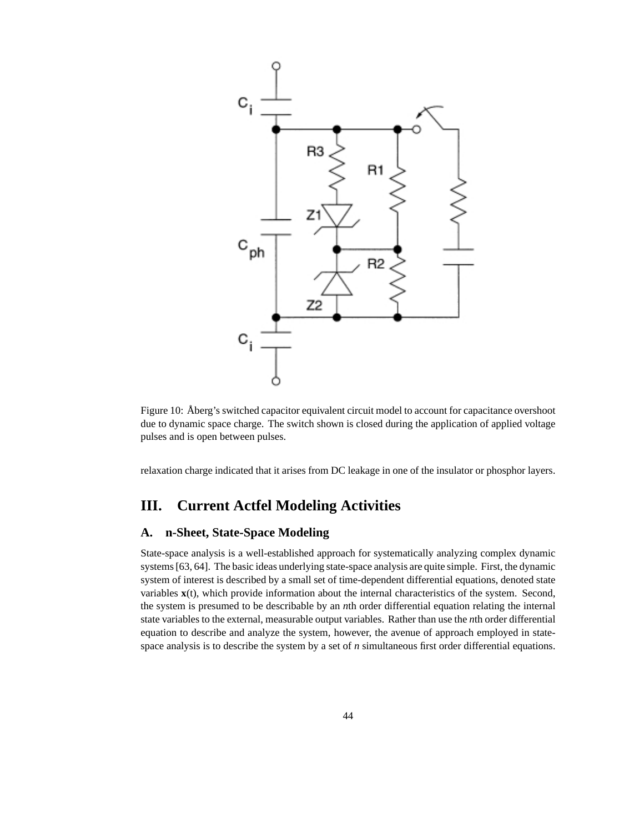

Figure 10: Åberg's switched capacitor equivalent circuit model to account for capacitance overshoot due to dynamic space charge. The switch shown is closed during the application of applied voltage pulses and is open between pulses.

relaxation charge indicated that it arises from DC leakage in one of the insulator or phosphor layers.

## **III. Current Actfel Modeling Activities**

#### **A. n-Sheet, State-Space Modeling**

State-space analysis is a well-established approach for systematically analyzing complex dynamic systems [63, 64]. The basic ideas underlying state-space analysis are quite simple. First, the dynamic system of interest is described by a small set of time-dependent differential equations, denoted state variables **x**(t), which provide information about the internal characteristics of the system. Second, the system is presumed to be describable by an *n*th order differential equation relating the internal state variables to the external, measurable output variables. Rather than use the *n*th order differential equation to describe and analyze the system, however, the avenue of approach employed in statespace analysis is to describe the system by a set of *n* simultaneous first order differential equations.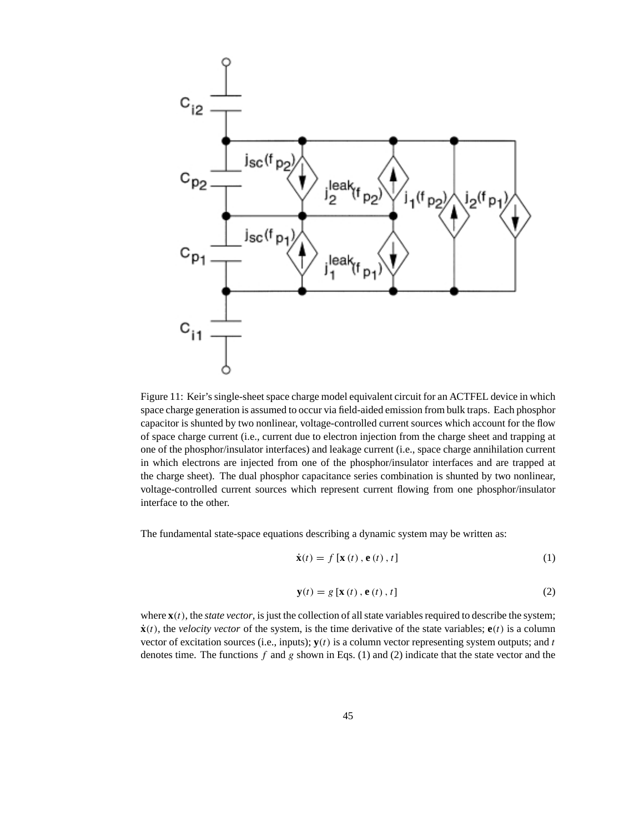

Figure 11: Keir's single-sheet space charge model equivalent circuit for an ACTFEL device in which space charge generation is assumed to occur via field-aided emission from bulk traps. Each phosphor capacitor is shunted by two nonlinear, voltage-controlled current sources which account for the flow of space charge current (i.e., current due to electron injection from the charge sheet and trapping at one of the phosphor/insulator interfaces) and leakage current (i.e., space charge annihilation current in which electrons are injected from one of the phosphor/insulator interfaces and are trapped at the charge sheet). The dual phosphor capacitance series combination is shunted by two nonlinear, voltage-controlled current sources which represent current flowing from one phosphor/insulator interface to the other.

The fundamental state-space equations describing a dynamic system may be written as:

$$
\dot{\mathbf{x}}(t) = f\left[\mathbf{x}\left(t\right), \mathbf{e}\left(t\right), t\right]
$$
 (1)

$$
\mathbf{y}(t) = g\left[\mathbf{x}\left(t\right), \mathbf{e}\left(t\right), t\right] \tag{2}
$$

where  $\mathbf{x}(t)$ , the *state vector*, is just the collection of all state variables required to describe the system;  $\dot{x}(t)$ , the *velocity vector* of the system, is the time derivative of the state variables;  $\dot{e}(t)$  is a column vector of excitation sources (i.e., inputs);  $y(t)$  is a column vector representing system outputs; and t denotes time. The functions f and g shown in Eqs. (1) and (2) indicate that the state vector and the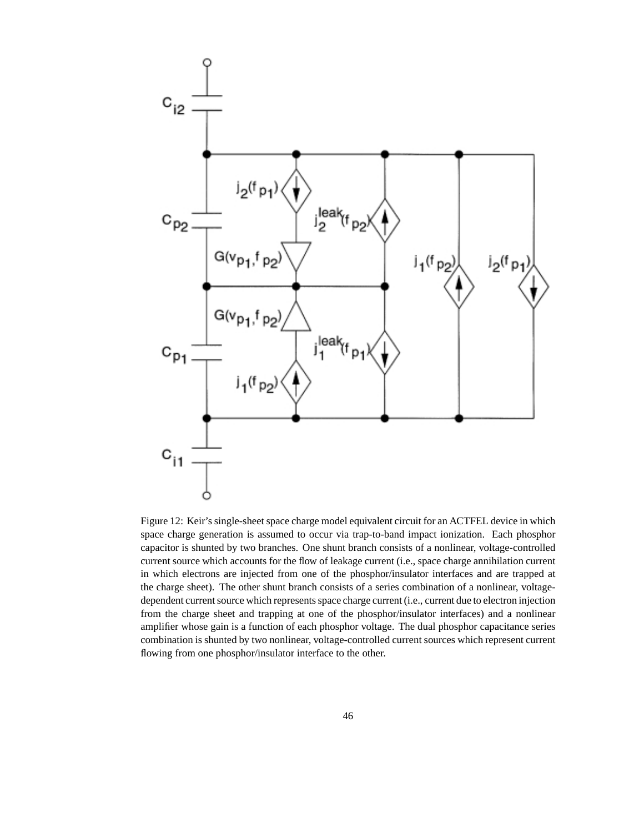

Figure 12: Keir's single-sheet space charge model equivalent circuit for an ACTFEL device in which space charge generation is assumed to occur via trap-to-band impact ionization. Each phosphor capacitor is shunted by two branches. One shunt branch consists of a nonlinear, voltage-controlled current source which accounts for the flow of leakage current (i.e., space charge annihilation current in which electrons are injected from one of the phosphor/insulator interfaces and are trapped at the charge sheet). The other shunt branch consists of a series combination of a nonlinear, voltagedependent current source which represents space charge current (i.e., current due to electron injection from the charge sheet and trapping at one of the phosphor/insulator interfaces) and a nonlinear amplifier whose gain is a function of each phosphor voltage. The dual phosphor capacitance series combination is shunted by two nonlinear, voltage-controlled current sources which represent current flowing from one phosphor/insulator interface to the other.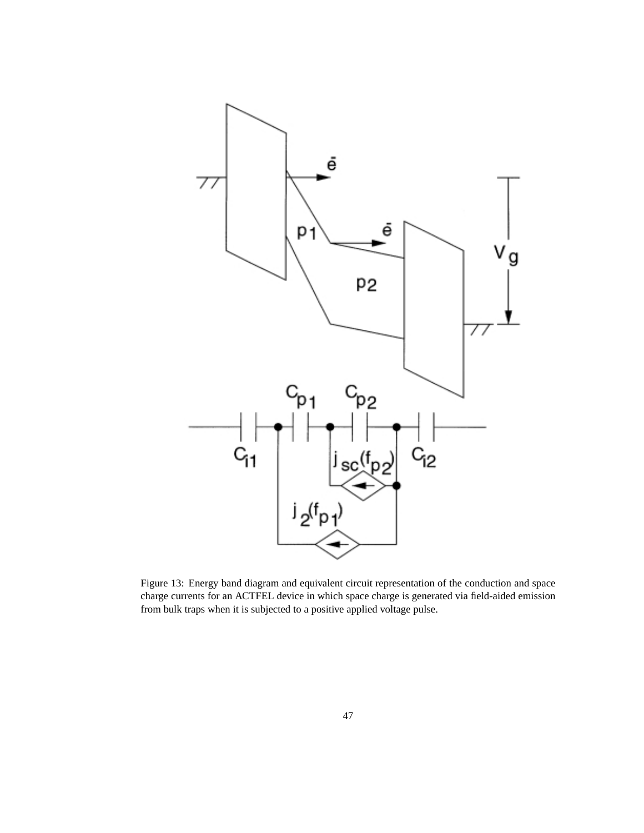

Figure 13: Energy band diagram and equivalent circuit representation of the conduction and space charge currents for an ACTFEL device in which space charge is generated via field-aided emission from bulk traps when it is subjected to a positive applied voltage pulse.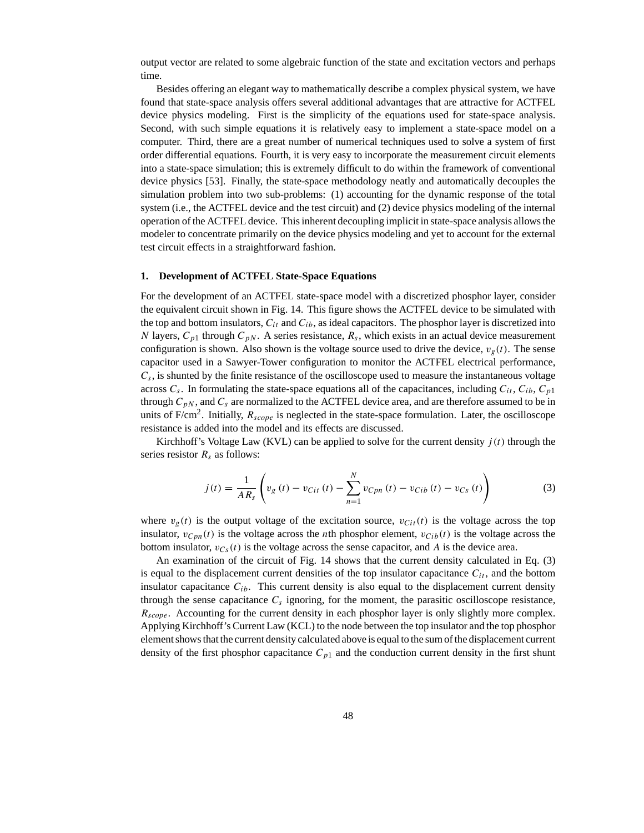output vector are related to some algebraic function of the state and excitation vectors and perhaps time.

Besides offering an elegant way to mathematically describe a complex physical system, we have found that state-space analysis offers several additional advantages that are attractive for ACTFEL device physics modeling. First is the simplicity of the equations used for state-space analysis. Second, with such simple equations it is relatively easy to implement a state-space model on a computer. Third, there are a great number of numerical techniques used to solve a system of first order differential equations. Fourth, it is very easy to incorporate the measurement circuit elements into a state-space simulation; this is extremely difficult to do within the framework of conventional device physics [53]. Finally, the state-space methodology neatly and automatically decouples the simulation problem into two sub-problems: (1) accounting for the dynamic response of the total system (i.e., the ACTFEL device and the test circuit) and (2) device physics modeling of the internal operation of the ACTFEL device. This inherent decoupling implicit in state-space analysis allows the modeler to concentrate primarily on the device physics modeling and yet to account for the external test circuit effects in a straightforward fashion.

#### **1. Development of ACTFEL State-Space Equations**

For the development of an ACTFEL state-space model with a discretized phosphor layer, consider the equivalent circuit shown in Fig. 14. This figure shows the ACTFEL device to be simulated with the top and bottom insulators,  $C_{it}$  and  $C_{ib}$ , as ideal capacitors. The phosphor layer is discretized into N layers,  $C_{p1}$  through  $C_{pN}$ . A series resistance,  $R_s$ , which exists in an actual device measurement configuration is shown. Also shown is the voltage source used to drive the device,  $v<sub>g</sub>(t)$ . The sense capacitor used in a Sawyer-Tower configuration to monitor the ACTFEL electrical performance,  $C_s$ , is shunted by the finite resistance of the oscilloscope used to measure the instantaneous voltage across  $C_s$ . In formulating the state-space equations all of the capacitances, including  $C_{it}$ ,  $C_{ib}$ ,  $C_{p1}$ through  $C_{pN}$ , and  $C_s$  are normalized to the ACTFEL device area, and are therefore assumed to be in units of  $F/cm^2$ . Initially,  $R_{scope}$  is neglected in the state-space formulation. Later, the oscilloscope resistance is added into the model and its effects are discussed.

Kirchhoff's Voltage Law (KVL) can be applied to solve for the current density  $j(t)$  through the series resistor  $R_s$  as follows:

$$
j(t) = \frac{1}{AR_s} \left( v_g(t) - v_{Cit}(t) - \sum_{n=1}^{N} v_{Cpn}(t) - v_{Cib}(t) - v_{Cs}(t) \right)
$$
(3)

where  $v_g(t)$  is the output voltage of the excitation source,  $v_{Cit}(t)$  is the voltage across the top insulator,  $v_{Cpn}(t)$  is the voltage across the *n*th phosphor element,  $v_{Cib}(t)$  is the voltage across the bottom insulator,  $v_{Cs}(t)$  is the voltage across the sense capacitor, and A is the device area.

An examination of the circuit of Fig. 14 shows that the current density calculated in Eq. (3) is equal to the displacement current densities of the top insulator capacitance  $C_{it}$ , and the bottom insulator capacitance  $C_{ib}$ . This current density is also equal to the displacement current density through the sense capacitance  $C_s$  ignoring, for the moment, the parasitic oscilloscope resistance,  $R_{scope}$ . Accounting for the current density in each phosphor layer is only slightly more complex. Applying Kirchhoff's Current Law (KCL) to the node between the top insulator and the top phosphor element shows that the current density calculated above is equal to the sum of the displacement current density of the first phosphor capacitance  $C_{p1}$  and the conduction current density in the first shunt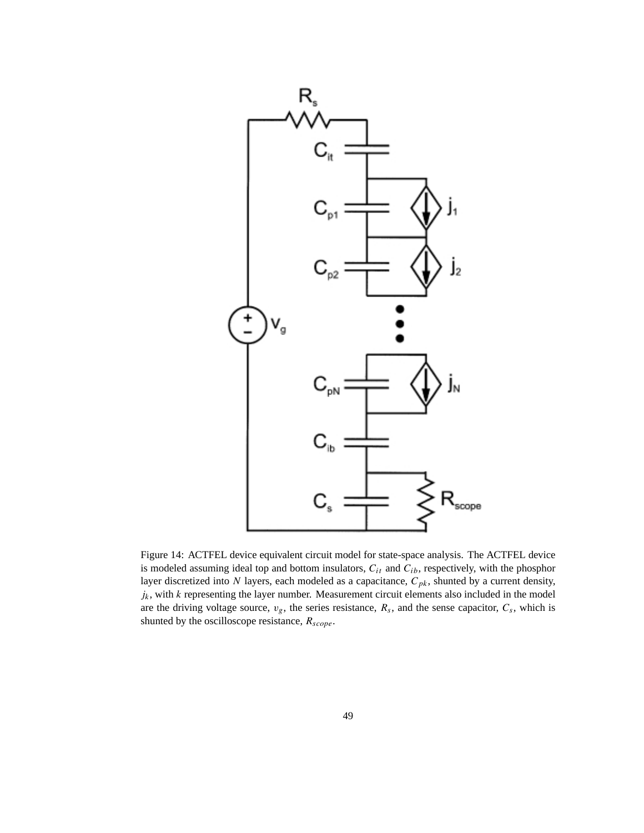

Figure 14: ACTFEL device equivalent circuit model for state-space analysis. The ACTFEL device is modeled assuming ideal top and bottom insulators,  $C_{it}$  and  $C_{ib}$ , respectively, with the phosphor layer discretized into N layers, each modeled as a capacitance,  $C_{pk}$ , shunted by a current density,  $j_k$ , with  $k$  representing the layer number. Measurement circuit elements also included in the model are the driving voltage source,  $v_g$ , the series resistance,  $R_s$ , and the sense capacitor,  $C_s$ , which is shunted by the oscilloscope resistance,  $R_{scope}$ .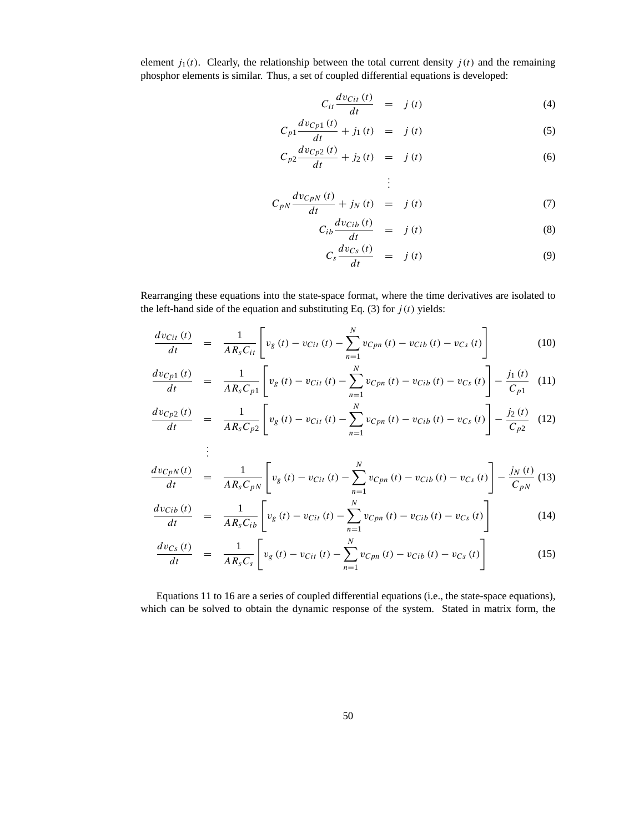element  $j_1(t)$ . Clearly, the relationship between the total current density  $j(t)$  and the remaining phosphor elements is similar. Thus, a set of coupled differential equations is developed:

$$
C_{it} \frac{dv_{Cit}(t)}{dt} = j(t) \tag{4}
$$

$$
C_{p1} \frac{dv_{Cp1}(t)}{dt} + j_1(t) = j(t)
$$
 (5)

$$
C_{p2} \frac{dv_{Cp2}(t)}{dt} + j_2(t) = j(t) \tag{6}
$$

$$
C_{pN} \frac{dv_{CpN}(t)}{dt} + j_N(t) = j(t)
$$
\n
$$
(7)
$$

$$
C_{ib} \frac{dv_{Cib}(t)}{dt} = j(t) \tag{8}
$$

$$
C_s \frac{dv_{Cs}(t)}{dt} = j(t) \tag{9}
$$

Rearranging these equations into the state-space format, where the time derivatives are isolated to the left-hand side of the equation and substituting Eq. (3) for  $j(t)$  yields:

$$
\frac{dv_{Cit}(t)}{dt} = \frac{1}{AR_sC_{it}} \left[ v_g(t) - v_{Cit}(t) - \sum_{n=1}^{N} v_{Cpn}(t) - v_{Cib}(t) - v_{Cs}(t) \right]
$$
(10)

$$
\frac{dv_{Cp1}(t)}{dt} = \frac{1}{AR_sC_{p1}} \left[ v_g(t) - v_{Cit}(t) - \sum_{n=1}^{N} v_{Cpn}(t) - v_{Cib}(t) - v_{Cs}(t) \right] - \frac{j_1(t)}{C_{p1}} \tag{11}
$$

$$
\frac{dv_{Cp2}(t)}{dt} = \frac{1}{AR_sC_{p2}} \left[ v_g(t) - v_{Cit}(t) - \sum_{n=1}^{N} v_{Cpn}(t) - v_{Cib}(t) - v_{Cs}(t) \right] - \frac{j_2(t)}{C_{p2}} \quad (12)
$$

$$
\frac{dv_{CpN}(t)}{dt} = \frac{1}{AR_sC_{pN}} \left[ v_g(t) - v_{Cit}(t) - \sum_{n=1}^{N} v_{Cpn}(t) - v_{Cib}(t) - v_{Cs}(t) \right] - \frac{j_N(t)}{C_{pN}} (13)
$$

$$
\frac{dv_{Cib}(t)}{dt} = \frac{1}{AR_sC_{ib}}\left[v_g(t) - v_{Cit}(t) - \sum_{n=1}^{N}v_{Cpn}(t) - v_{Cib}(t) - v_{Cs}(t)\right]
$$
(14)

$$
\frac{dv_{Cs}(t)}{dt} = \frac{1}{AR_sC_s} \left[ v_g(t) - v_{Cit}(t) - \sum_{n=1}^{N} v_{Cpn}(t) - v_{Cib}(t) - v_{Cs}(t) \right]
$$
(15)

Equations 11 to 16 are a series of coupled differential equations (i.e., the state-space equations), which can be solved to obtain the dynamic response of the system. Stated in matrix form, the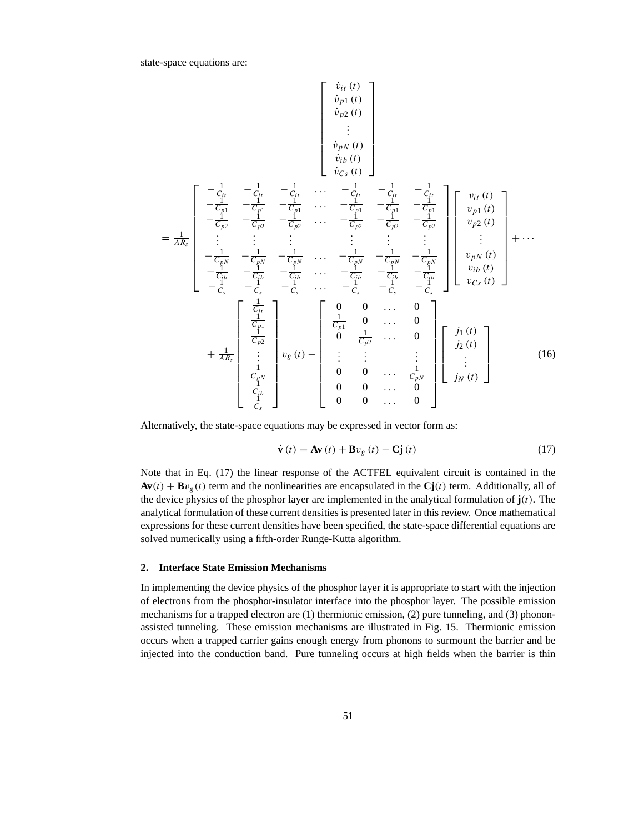state-space equations are:

$$
\begin{bmatrix}\n\dot{v}_{i1}(t) \\
\dot{v}_{p1}(t) \\
\dot{v}_{p2}(t) \\
\dot{v}_{i1}(t) \\
\dot{v}_{i2}(t)\n\end{bmatrix}
$$
\n
$$
= \frac{1}{\frac{1}{A R_{s}}}\n\begin{bmatrix}\n-\frac{1}{C_{i1}} & -\frac{1}{C_{i1}} & -\frac{1}{C_{i1}} & \dots & -\frac{1}{C_{i1}} & -\frac{1}{C_{i1}} \\
-\frac{1}{C_{i2}} & -\frac{1}{C_{i2}} & -\frac{1}{C_{i2}} & \dots & -\frac{1}{C_{i2}} & -\frac{1}{C_{i2}} & -\frac{1}{C_{i2}} \\
\vdots & \vdots & \vdots & \vdots & \vdots & \vdots \\
-\frac{1}{C_{iN}} & -\frac{1}{C_{iN}} & -\frac{1}{C_{iN}} & \dots & -\frac{1}{C_{iN}} & -\frac{1}{C_{iN}} & -\frac{1}{C_{iN}} \\
-\frac{1}{C_{iN}} & -\frac{1}{C_{iN}} & -\frac{1}{C_{iN}} & \dots & -\frac{1}{C_{iN}} & -\frac{1}{C_{iN}} & -\frac{1}{C_{iN}} \\
-\frac{1}{C_{iN}} & -\frac{1}{C_{iN}} & -\frac{1}{C_{iN}} & \dots & -\frac{1}{C_{iN}} & -\frac{1}{C_{iN}} & -\frac{1}{C_{iN}} \\
-\frac{1}{C_{i}} & -\frac{1}{C_{i}} & -\frac{1}{C_{i}} & \dots & -\frac{1}{C_{i}} & -\frac{1}{C_{i}} & -\frac{1}{C_{i}} \\
-\frac{1}{C_{i}} & -\frac{1}{C_{i}} & -\frac{1}{C_{i}} & \dots & -\frac{1}{C_{i}} & -\frac{1}{C_{i}} & -\frac{1}{C_{i}} \\
-\frac{1}{C_{i1}} & -\frac{1}{C_{i2}} & \dots & -\frac{1}{C_{i2}} & \dots & 0 \\
\frac{1}{C_{i1}} & 0 & \dots & 0 & 0 \\
\vdots & \vdots & \vdots & \vdots & \vdots \\
\frac{1}{C_{iN}} & \frac{1}{C_{iN}} & 0 & 0 & \dots & 0\n\end{bmatrix}\n\begin{bmatrix}\nj_{1}(t)
$$

Alternatively, the state-space equations may be expressed in vector form as:

$$
\dot{\mathbf{v}}(t) = \mathbf{A}\mathbf{v}(t) + \mathbf{B}v_{g}(t) - \mathbf{C}\mathbf{j}(t)
$$
\n(17)

Note that in Eq. (17) the linear response of the ACTFEL equivalent circuit is contained in the  $Av(t) + Bv<sub>g</sub>(t)$  term and the nonlinearities are encapsulated in the  $Cj(t)$  term. Additionally, all of the device physics of the phosphor layer are implemented in the analytical formulation of  $\mathbf{j}(t)$ . The analytical formulation of these current densities is presented later in this review. Once mathematical expressions for these current densities have been specified, the state-space differential equations are solved numerically using a fifth-order Runge-Kutta algorithm.

#### **2. Interface State Emission Mechanisms**

In implementing the device physics of the phosphor layer it is appropriate to start with the injection of electrons from the phosphor-insulator interface into the phosphor layer. The possible emission mechanisms for a trapped electron are (1) thermionic emission, (2) pure tunneling, and (3) phononassisted tunneling. These emission mechanisms are illustrated in Fig. 15. Thermionic emission occurs when a trapped carrier gains enough energy from phonons to surmount the barrier and be injected into the conduction band. Pure tunneling occurs at high fields when the barrier is thin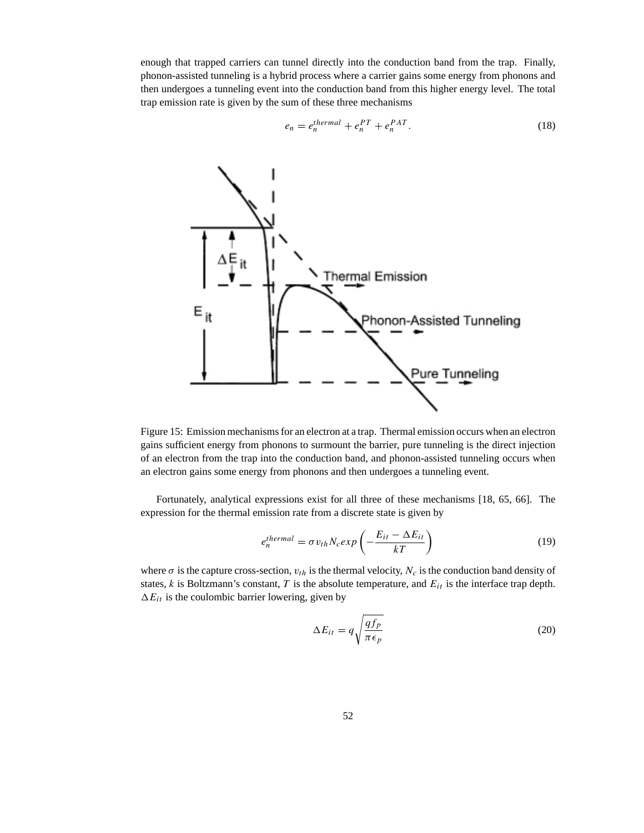enough that trapped carriers can tunnel directly into the conduction band from the trap. Finally, phonon-assisted tunneling is a hybrid process where a carrier gains some energy from phonons and then undergoes a tunneling event into the conduction band from this higher energy level. The total trap emission rate is given by the sum of these three mechanisms

$$
e_n = e_n^{thermal} + e_n^{PT} + e_n^{PAT}.
$$
\n(18)



Figure 15: Emission mechanisms for an electron at a trap. Thermal emission occurs when an electron gains sufficient energy from phonons to surmount the barrier, pure tunneling is the direct injection of an electron from the trap into the conduction band, and phonon-assisted tunneling occurs when an electron gains some energy from phonons and then undergoes a tunneling event.

Fortunately, analytical expressions exist for all three of these mechanisms [18, 65, 66]. The expression for the thermal emission rate from a discrete state is given by

$$
e_n^{thermal} = \sigma v_{th} N_c exp\left(-\frac{E_{it} - \Delta E_{it}}{kT}\right)
$$
\n(19)

where  $\sigma$  is the capture cross-section,  $v_{th}$  is the thermal velocity,  $N_c$  is the conduction band density of states,  $k$  is Boltzmann's constant,  $T$  is the absolute temperature, and  $E_{it}$  is the interface trap depth.  $\Delta E_{it}$  is the coulombic barrier lowering, given by

$$
\Delta E_{it} = q \sqrt{\frac{qf_p}{\pi \epsilon_p}}
$$
\n(20)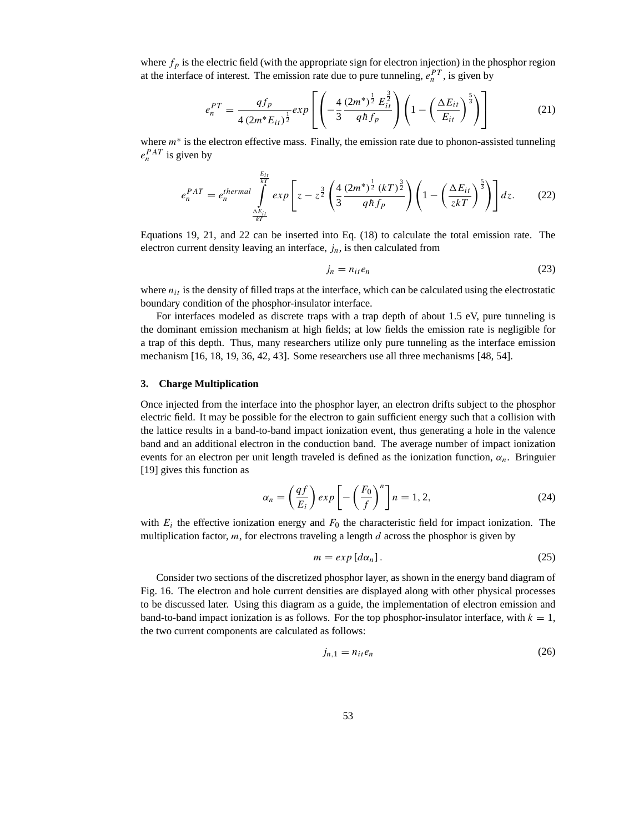where  $f_p$  is the electric field (with the appropriate sign for electron injection) in the phosphor region at the interface of interest. The emission rate due to pure tunneling,  $e_n^{PT}$ , is given by

$$
e_n^{PT} = \frac{qf_p}{4(2m^*E_{it})^{\frac{1}{2}}}exp\left[\left(-\frac{4}{3}\frac{(2m^*)^{\frac{1}{2}}E_{it}^{\frac{3}{2}}}{q\hbar f_p}\right)\left(1-\left(\frac{\Delta E_{it}}{E_{it}}\right)^{\frac{5}{3}}\right)\right]
$$
(21)

where  $m<sup>*</sup>$  is the electron effective mass. Finally, the emission rate due to phonon-assisted tunneling  $e_n^{PAT}$  is given by

$$
e_n^{PAT} = e_n^{thermal} \int_{\frac{\Delta E_{it}}{kT}}^{E_{it}} exp\left[z - z^{\frac{3}{2}} \left(\frac{4}{3} \frac{(2m^*)^{\frac{1}{2}} (kT)^{\frac{3}{2}}}{q h f_p}\right) \left(1 - \left(\frac{\Delta E_{it}}{z kT}\right)^{\frac{5}{3}}\right)\right] dz.
$$
 (22)

Equations 19, 21, and 22 can be inserted into Eq. (18) to calculate the total emission rate. The electron current density leaving an interface,  $j_n$ , is then calculated from

$$
j_n = n_{it}e_n \tag{23}
$$

where  $n_{it}$  is the density of filled traps at the interface, which can be calculated using the electrostatic boundary condition of the phosphor-insulator interface.

For interfaces modeled as discrete traps with a trap depth of about 1.5 eV, pure tunneling is the dominant emission mechanism at high fields; at low fields the emission rate is negligible for a trap of this depth. Thus, many researchers utilize only pure tunneling as the interface emission mechanism [16, 18, 19, 36, 42, 43]. Some researchers use all three mechanisms [48, 54].

#### **3. Charge Multiplication**

Once injected from the interface into the phosphor layer, an electron drifts subject to the phosphor electric field. It may be possible for the electron to gain sufficient energy such that a collision with the lattice results in a band-to-band impact ionization event, thus generating a hole in the valence band and an additional electron in the conduction band. The average number of impact ionization events for an electron per unit length traveled is defined as the ionization function,  $\alpha_n$ . Bringuier [19] gives this function as

$$
\alpha_n = \left(\frac{qf}{E_i}\right) \exp\left[-\left(\frac{F_0}{f}\right)^n\right]n = 1, 2,
$$
\n(24)

with  $E_i$  the effective ionization energy and  $F_0$  the characteristic field for impact ionization. The multiplication factor,  $m$ , for electrons traveling a length  $d$  across the phosphor is given by

$$
m = exp [d\alpha_n]. \tag{25}
$$

Consider two sections of the discretized phosphor layer, as shown in the energy band diagram of Fig. 16. The electron and hole current densities are displayed along with other physical processes to be discussed later. Using this diagram as a guide, the implementation of electron emission and band-to-band impact ionization is as follows. For the top phosphor-insulator interface, with  $k = 1$ , the two current components are calculated as follows:

$$
j_{n,1} = n_{it}e_n \tag{26}
$$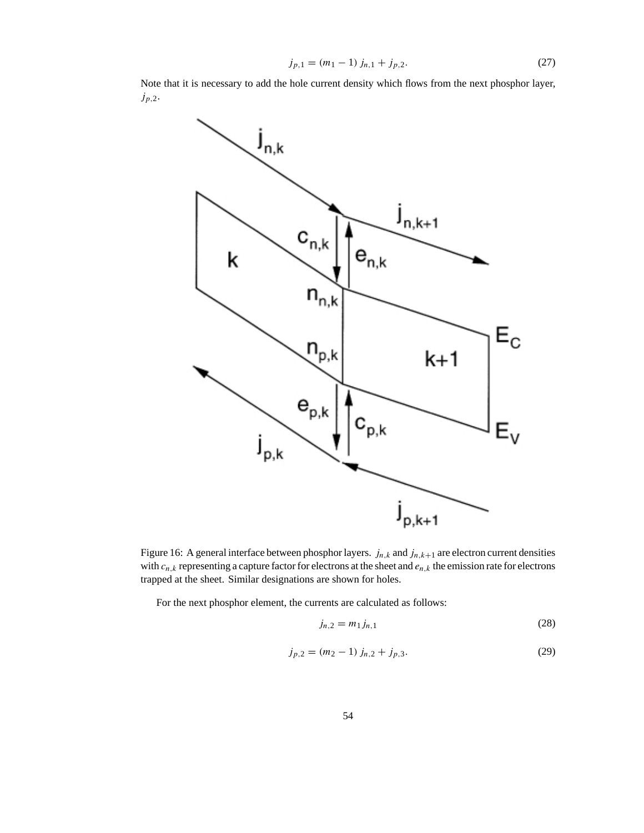$$
j_{p,1} = (m_1 - 1) j_{n,1} + j_{p,2}.
$$
 (27)

Note that it is necessary to add the hole current density which flows from the next phosphor layer,  $j_{p,2}$ .



Figure 16: A general interface between phosphor layers.  $j_{n,k}$  and  $j_{n,k+1}$  are electron current densities with  $c_{n,k}$  representing a capture factor for electrons at the sheet and  $e_{n,k}$  the emission rate for electrons trapped at the sheet. Similar designations are shown for holes.

For the next phosphor element, the currents are calculated as follows:

$$
j_{n,2} = m_1 j_{n,1} \tag{28}
$$

$$
j_{p,2} = (m_2 - 1) j_{n,2} + j_{p,3}.
$$
 (29)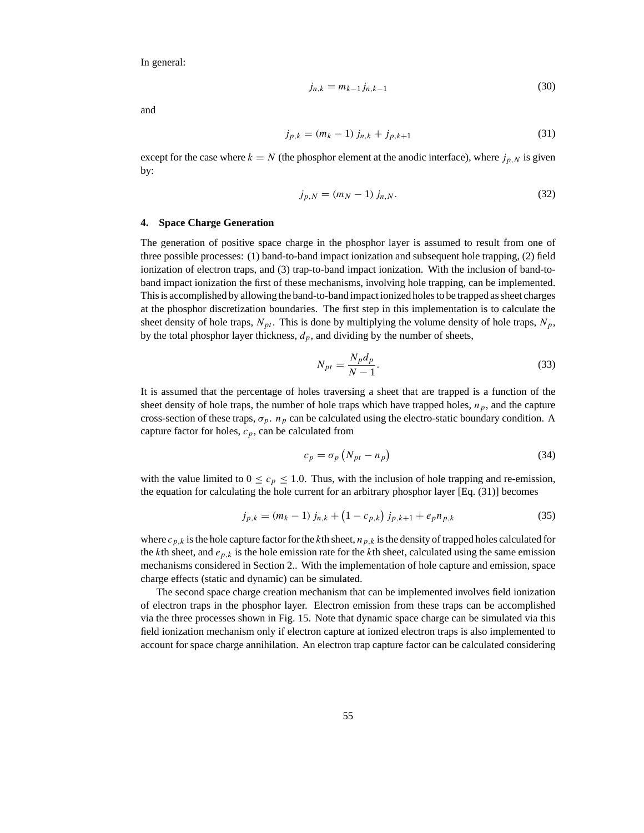In general:

$$
j_{n,k} = m_{k-1} j_{n,k-1}
$$
 (30)

and

$$
j_{p,k} = (m_k - 1) j_{n,k} + j_{p,k+1}
$$
\n(31)

except for the case where  $k = N$  (the phosphor element at the anodic interface), where  $j_{p,N}$  is given by:

$$
j_{p,N} = (m_N - 1) j_{n,N}.
$$
\n(32)

#### **4. Space Charge Generation**

The generation of positive space charge in the phosphor layer is assumed to result from one of three possible processes: (1) band-to-band impact ionization and subsequent hole trapping, (2) field ionization of electron traps, and (3) trap-to-band impact ionization. With the inclusion of band-toband impact ionization the first of these mechanisms, involving hole trapping, can be implemented. This is accomplished by allowing the band-to-band impact ionized holes to be trapped as sheet charges at the phosphor discretization boundaries. The first step in this implementation is to calculate the sheet density of hole traps,  $N_{pt}$ . This is done by multiplying the volume density of hole traps,  $N_p$ , by the total phosphor layer thickness,  $d_p$ , and dividing by the number of sheets,

$$
N_{pt} = \frac{N_p d_p}{N - 1}.\tag{33}
$$

It is assumed that the percentage of holes traversing a sheet that are trapped is a function of the sheet density of hole traps, the number of hole traps which have trapped holes,  $n_p$ , and the capture cross-section of these traps,  $\sigma_p$ .  $n_p$  can be calculated using the electro-static boundary condition. A capture factor for holes,  $c_p$ , can be calculated from

$$
c_p = \sigma_p \left( N_{pt} - n_p \right) \tag{34}
$$

with the value limited to  $0 \leq c_p \leq 1.0$ . Thus, with the inclusion of hole trapping and re-emission, the equation for calculating the hole current for an arbitrary phosphor layer [Eq. (31)] becomes

$$
j_{p,k} = (m_k - 1) j_{n,k} + (1 - c_{p,k}) j_{p,k+1} + e_p n_{p,k}
$$
\n(35)

where  $c_{p,k}$  is the hole capture factor for the kth sheet,  $n_{p,k}$  is the density of trapped holes calculated for the kth sheet, and  $e_{p,k}$  is the hole emission rate for the kth sheet, calculated using the same emission mechanisms considered in Section 2.. With the implementation of hole capture and emission, space charge effects (static and dynamic) can be simulated.

The second space charge creation mechanism that can be implemented involves field ionization of electron traps in the phosphor layer. Electron emission from these traps can be accomplished via the three processes shown in Fig. 15. Note that dynamic space charge can be simulated via this field ionization mechanism only if electron capture at ionized electron traps is also implemented to account for space charge annihilation. An electron trap capture factor can be calculated considering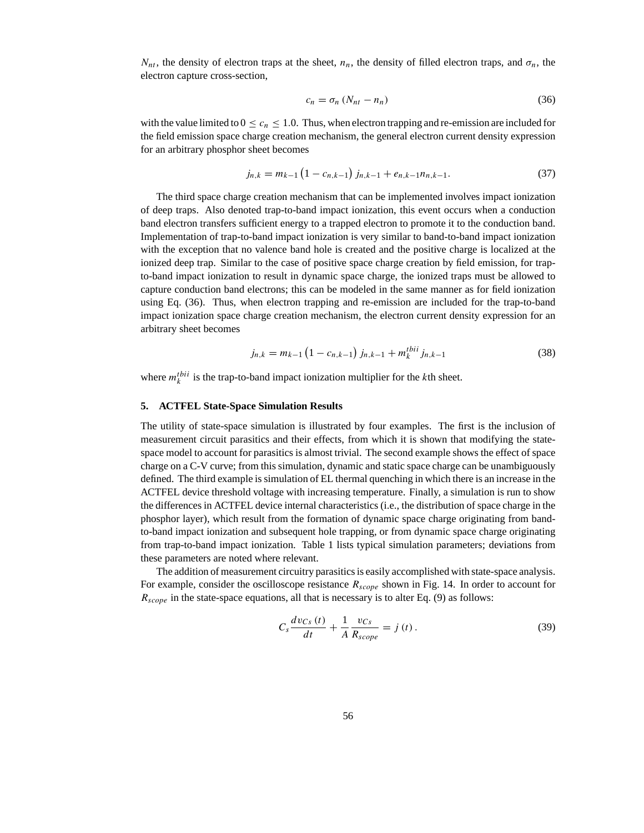$N_{nt}$ , the density of electron traps at the sheet,  $n_n$ , the density of filled electron traps, and  $\sigma_n$ , the electron capture cross-section,

$$
c_n = \sigma_n \left( N_{nt} - n_n \right) \tag{36}
$$

with the value limited to  $0 \leq c_n \leq 1.0$ . Thus, when electron trapping and re-emission are included for the field emission space charge creation mechanism, the general electron current density expression for an arbitrary phosphor sheet becomes

$$
j_{n,k} = m_{k-1} \left( 1 - c_{n,k-1} \right) j_{n,k-1} + e_{n,k-1} n_{n,k-1}.
$$
 (37)

The third space charge creation mechanism that can be implemented involves impact ionization of deep traps. Also denoted trap-to-band impact ionization, this event occurs when a conduction band electron transfers sufficient energy to a trapped electron to promote it to the conduction band. Implementation of trap-to-band impact ionization is very similar to band-to-band impact ionization with the exception that no valence band hole is created and the positive charge is localized at the ionized deep trap. Similar to the case of positive space charge creation by field emission, for trapto-band impact ionization to result in dynamic space charge, the ionized traps must be allowed to capture conduction band electrons; this can be modeled in the same manner as for field ionization using Eq. (36). Thus, when electron trapping and re-emission are included for the trap-to-band impact ionization space charge creation mechanism, the electron current density expression for an arbitrary sheet becomes

$$
j_{n,k} = m_{k-1} \left( 1 - c_{n,k-1} \right) j_{n,k-1} + m_k^{tbi} j_{n,k-1}
$$
 (38)

where  $m_k^{tbii}$  is the trap-to-band impact ionization multiplier for the kth sheet.

#### **5. ACTFEL State-Space Simulation Results**

The utility of state-space simulation is illustrated by four examples. The first is the inclusion of measurement circuit parasitics and their effects, from which it is shown that modifying the statespace model to account for parasitics is almost trivial. The second example shows the effect of space charge on a C-V curve; from this simulation, dynamic and static space charge can be unambiguously defined. The third example is simulation of EL thermal quenching in which there is an increase in the ACTFEL device threshold voltage with increasing temperature. Finally, a simulation is run to show the differences in ACTFEL device internal characteristics (i.e., the distribution of space charge in the phosphor layer), which result from the formation of dynamic space charge originating from bandto-band impact ionization and subsequent hole trapping, or from dynamic space charge originating from trap-to-band impact ionization. Table 1 lists typical simulation parameters; deviations from these parameters are noted where relevant.

The addition of measurement circuitry parasitics is easily accomplished with state-space analysis. For example, consider the oscilloscope resistance  $R_{scope}$  shown in Fig. 14. In order to account for  $R_{scope}$  in the state-space equations, all that is necessary is to alter Eq. (9) as follows:

$$
C_s \frac{dv_{Cs}(t)}{dt} + \frac{1}{A} \frac{v_{Cs}}{R_{scope}} = j(t).
$$
 (39)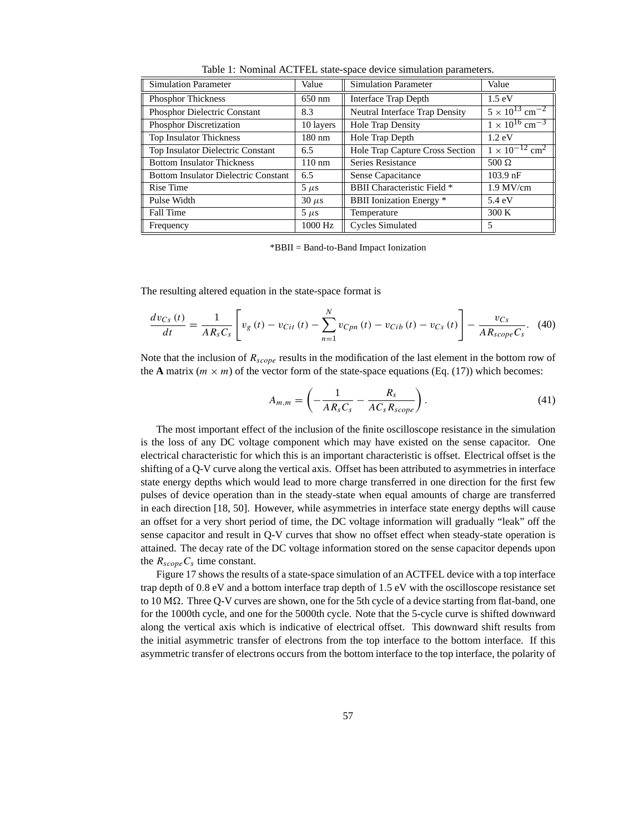| <b>Simulation Parameter</b>                 | Value            | <b>Simulation Parameter</b>                | Value                               |
|---------------------------------------------|------------------|--------------------------------------------|-------------------------------------|
| <b>Phosphor Thickness</b>                   | 650 nm           | Interface Trap Depth                       | $1.5 \text{ eV}$                    |
| <b>Phosphor Dielectric Constant</b>         | 8.3              | Neutral Interface Trap Density             | $5 \times 10^{13}$ cm <sup>-2</sup> |
| Phosphor Discretization                     | 10 layers        | <b>Hole Trap Density</b>                   | $1 \times 10^{16}$ cm <sup>-3</sup> |
| Top Insulator Thickness                     | 180 nm           | Hole Trap Depth                            | $1.2 \text{ eV}$                    |
| <b>Top Insulator Dielectric Constant</b>    | 6.5              | Hole Trap Capture Cross Section            | $1 \times 10^{-12}$ cm <sup>2</sup> |
| <b>Bottom Insulator Thickness</b>           | $110 \text{ nm}$ | Series Resistance                          | $500 \Omega$                        |
| <b>Bottom Insulator Dielectric Constant</b> | 6.5              | Sense Capacitance                          | $103.9$ nF                          |
| Rise Time                                   | $5 \mu s$        | <b>BBII</b> Characteristic Field *         | $1.9$ MV/cm                         |
| Pulse Width                                 | $30 \mu s$       | <b>BBII</b> Ionization Energy <sup>*</sup> | 5.4 eV                              |
| Fall Time                                   | $5 \mu s$        | Temperature                                | 300 K                               |
| Frequency                                   | 1000 Hz          | <b>Cycles Simulated</b>                    | 5                                   |

Table 1: Nominal ACTFEL state-space device simulation parameters.

\*BBII = Band-to-Band Impact Ionization

The resulting altered equation in the state-space format is

$$
\frac{dv_{Cs}(t)}{dt} = \frac{1}{AR_sC_s} \left[ v_g(t) - v_{Cit}(t) - \sum_{n=1}^{N} v_{Cpn}(t) - v_{Cib}(t) - v_{Cs}(t) \right] - \frac{v_{Cs}}{AR_{scope}C_s}.
$$
 (40)

Note that the inclusion of  $R_{scope}$  results in the modification of the last element in the bottom row of the **A** matrix  $(m \times m)$  of the vector form of the state-space equations (Eq. (17)) which becomes:

$$
A_{m,m} = \left(-\frac{1}{AR_sC_s} - \frac{R_s}{AC_sR_{scope}}\right). \tag{41}
$$

The most important effect of the inclusion of the finite oscilloscope resistance in the simulation is the loss of any DC voltage component which may have existed on the sense capacitor. One electrical characteristic for which this is an important characteristic is offset. Electrical offset is the shifting of a Q-V curve along the vertical axis. Offset has been attributed to asymmetries in interface state energy depths which would lead to more charge transferred in one direction for the first few pulses of device operation than in the steady-state when equal amounts of charge are transferred in each direction [18, 50]. However, while asymmetries in interface state energy depths will cause an offset for a very short period of time, the DC voltage information will gradually "leak" off the sense capacitor and result in Q-V curves that show no offset effect when steady-state operation is attained. The decay rate of the DC voltage information stored on the sense capacitor depends upon the  $R_{scope}C_s$  time constant.

Figure 17 shows the results of a state-space simulation of an ACTFEL device with a top interface trap depth of 0.8 eV and a bottom interface trap depth of 1.5 eV with the oscilloscope resistance set to  $10 \text{ M}\Omega$ . Three Q-V curves are shown, one for the 5th cycle of a device starting from flat-band, one for the 1000th cycle, and one for the 5000th cycle. Note that the 5-cycle curve is shifted downward along the vertical axis which is indicative of electrical offset. This downward shift results from the initial asymmetric transfer of electrons from the top interface to the bottom interface. If this asymmetric transfer of electrons occurs from the bottom interface to the top interface, the polarity of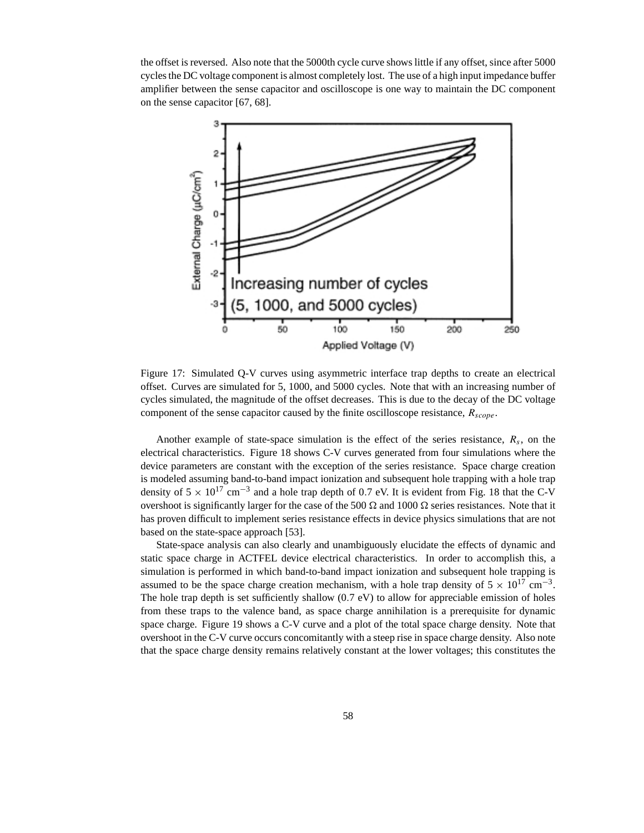the offset is reversed. Also note that the 5000th cycle curve shows little if any offset, since after 5000 cycles the DC voltage component is almost completely lost. The use of a high input impedance buffer amplifier between the sense capacitor and oscilloscope is one way to maintain the DC component on the sense capacitor [67, 68].



Figure 17: Simulated Q-V curves using asymmetric interface trap depths to create an electrical offset. Curves are simulated for 5, 1000, and 5000 cycles. Note that with an increasing number of cycles simulated, the magnitude of the offset decreases. This is due to the decay of the DC voltage component of the sense capacitor caused by the finite oscilloscope resistance,  $R_{scope}$ .

Another example of state-space simulation is the effect of the series resistance,  $R_s$ , on the electrical characteristics. Figure 18 shows C-V curves generated from four simulations where the device parameters are constant with the exception of the series resistance. Space charge creation is modeled assuming band-to-band impact ionization and subsequent hole trapping with a hole trap density of  $5 \times 10^{17}$  cm<sup>-3</sup> and a hole trap depth of 0.7 eV. It is evident from Fig. 18 that the C-V overshoot is significantly larger for the case of the 500  $\Omega$  and 1000  $\Omega$  series resistances. Note that it has proven difficult to implement series resistance effects in device physics simulations that are not based on the state-space approach [53].

State-space analysis can also clearly and unambiguously elucidate the effects of dynamic and static space charge in ACTFEL device electrical characteristics. In order to accomplish this, a simulation is performed in which band-to-band impact ionization and subsequent hole trapping is assumed to be the space charge creation mechanism, with a hole trap density of  $5 \times 10^{17}$  cm<sup>-3</sup>. The hole trap depth is set sufficiently shallow  $(0.7 \text{ eV})$  to allow for appreciable emission of holes from these traps to the valence band, as space charge annihilation is a prerequisite for dynamic space charge. Figure 19 shows a C-V curve and a plot of the total space charge density. Note that overshoot in the C-V curve occurs concomitantly with a steep rise in space charge density. Also note that the space charge density remains relatively constant at the lower voltages; this constitutes the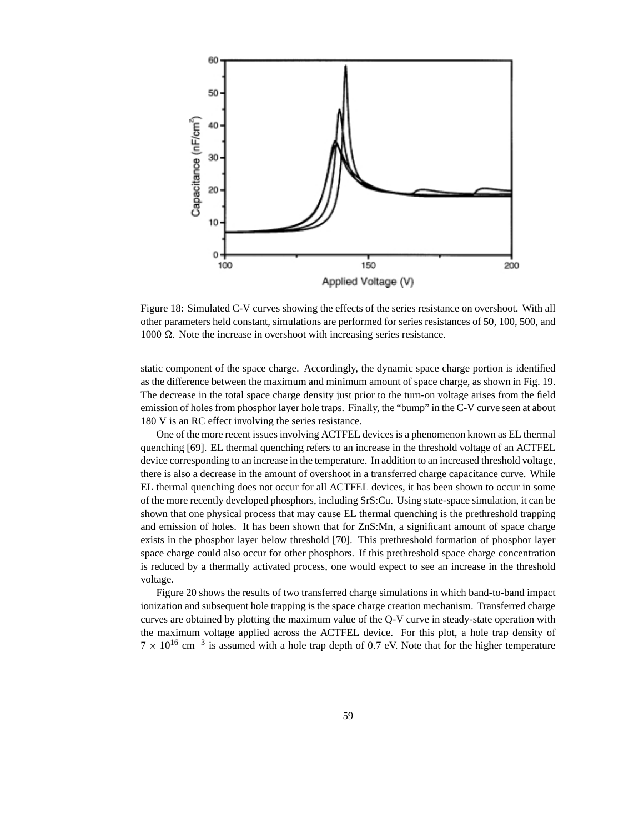

Figure 18: Simulated C-V curves showing the effects of the series resistance on overshoot. With all other parameters held constant, simulations are performed for series resistances of 50, 100, 500, and 1000  $Ω$ . Note the increase in overshoot with increasing series resistance.

static component of the space charge. Accordingly, the dynamic space charge portion is identified as the difference between the maximum and minimum amount of space charge, as shown in Fig. 19. The decrease in the total space charge density just prior to the turn-on voltage arises from the field emission of holes from phosphor layer hole traps. Finally, the "bump" in the C-V curve seen at about 180 V is an RC effect involving the series resistance.

One of the more recent issues involving ACTFEL devices is a phenomenon known as EL thermal quenching [69]. EL thermal quenching refers to an increase in the threshold voltage of an ACTFEL device corresponding to an increase in the temperature. In addition to an increased threshold voltage, there is also a decrease in the amount of overshoot in a transferred charge capacitance curve. While EL thermal quenching does not occur for all ACTFEL devices, it has been shown to occur in some of the more recently developed phosphors, including SrS:Cu. Using state-space simulation, it can be shown that one physical process that may cause EL thermal quenching is the prethreshold trapping and emission of holes. It has been shown that for ZnS:Mn, a significant amount of space charge exists in the phosphor layer below threshold [70]. This prethreshold formation of phosphor layer space charge could also occur for other phosphors. If this prethreshold space charge concentration is reduced by a thermally activated process, one would expect to see an increase in the threshold voltage.

Figure 20 shows the results of two transferred charge simulations in which band-to-band impact ionization and subsequent hole trapping is the space charge creation mechanism. Transferred charge curves are obtained by plotting the maximum value of the Q-V curve in steady-state operation with the maximum voltage applied across the ACTFEL device. For this plot, a hole trap density of  $7 \times 10^{16}$  cm<sup>-3</sup> is assumed with a hole trap depth of 0.7 eV. Note that for the higher temperature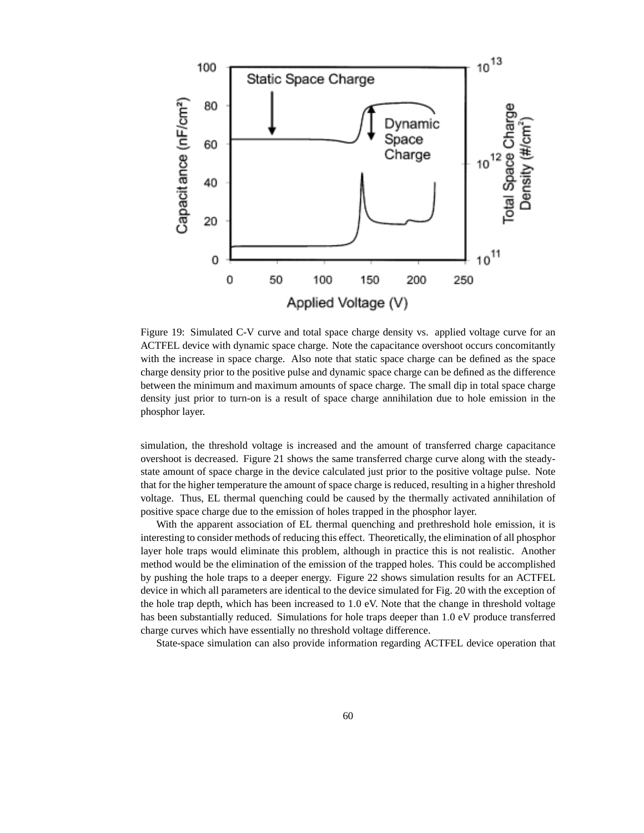

Figure 19: Simulated C-V curve and total space charge density vs. applied voltage curve for an ACTFEL device with dynamic space charge. Note the capacitance overshoot occurs concomitantly with the increase in space charge. Also note that static space charge can be defined as the space charge density prior to the positive pulse and dynamic space charge can be defined as the difference between the minimum and maximum amounts of space charge. The small dip in total space charge density just prior to turn-on is a result of space charge annihilation due to hole emission in the phosphor layer.

simulation, the threshold voltage is increased and the amount of transferred charge capacitance overshoot is decreased. Figure 21 shows the same transferred charge curve along with the steadystate amount of space charge in the device calculated just prior to the positive voltage pulse. Note that for the higher temperature the amount of space charge is reduced, resulting in a higher threshold voltage. Thus, EL thermal quenching could be caused by the thermally activated annihilation of positive space charge due to the emission of holes trapped in the phosphor layer.

With the apparent association of EL thermal quenching and prethreshold hole emission, it is interesting to consider methods of reducing this effect. Theoretically, the elimination of all phosphor layer hole traps would eliminate this problem, although in practice this is not realistic. Another method would be the elimination of the emission of the trapped holes. This could be accomplished by pushing the hole traps to a deeper energy. Figure 22 shows simulation results for an ACTFEL device in which all parameters are identical to the device simulated for Fig. 20 with the exception of the hole trap depth, which has been increased to 1.0 eV. Note that the change in threshold voltage has been substantially reduced. Simulations for hole traps deeper than 1.0 eV produce transferred charge curves which have essentially no threshold voltage difference.

State-space simulation can also provide information regarding ACTFEL device operation that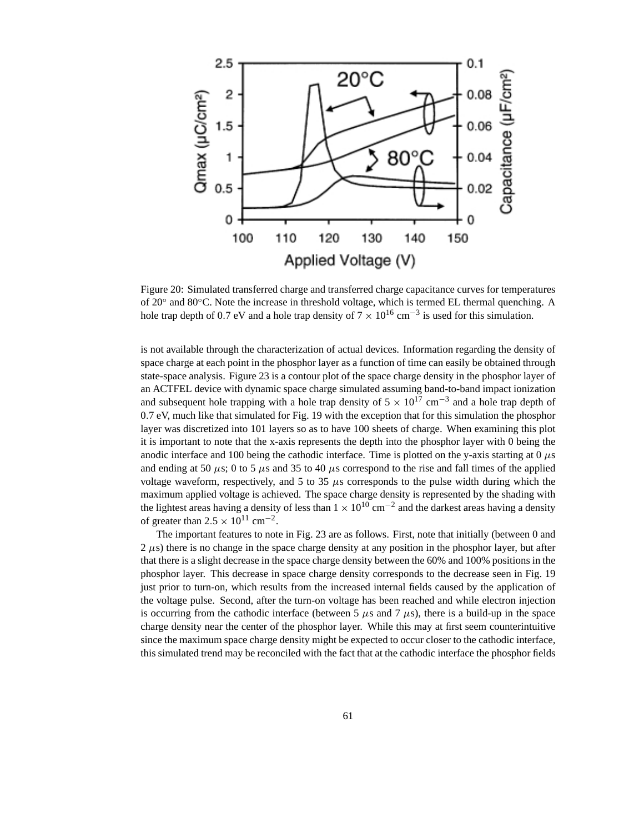

Figure 20: Simulated transferred charge and transferred charge capacitance curves for temperatures of 20◦ and 80◦C. Note the increase in threshold voltage, which is termed EL thermal quenching. A hole trap depth of 0.7 eV and a hole trap density of  $7 \times 10^{16}$  cm<sup>-3</sup> is used for this simulation.

is not available through the characterization of actual devices. Information regarding the density of space charge at each point in the phosphor layer as a function of time can easily be obtained through state-space analysis. Figure 23 is a contour plot of the space charge density in the phosphor layer of an ACTFEL device with dynamic space charge simulated assuming band-to-band impact ionization and subsequent hole trapping with a hole trap density of  $5 \times 10^{17}$  cm<sup>-3</sup> and a hole trap depth of 0.7 eV, much like that simulated for Fig. 19 with the exception that for this simulation the phosphor layer was discretized into 101 layers so as to have 100 sheets of charge. When examining this plot it is important to note that the x-axis represents the depth into the phosphor layer with 0 being the anodic interface and 100 being the cathodic interface. Time is plotted on the y-axis starting at  $0 \mu s$ and ending at 50  $\mu$ s; 0 to 5  $\mu$ s and 35 to 40  $\mu$ s correspond to the rise and fall times of the applied voltage waveform, respectively, and 5 to 35  $\mu$ s corresponds to the pulse width during which the maximum applied voltage is achieved. The space charge density is represented by the shading with the lightest areas having a density of less than  $1 \times 10^{10}$  cm<sup>-2</sup> and the darkest areas having a density of greater than  $2.5 \times 10^{11}$  cm<sup>-2</sup>.

The important features to note in Fig. 23 are as follows. First, note that initially (between 0 and  $2 \mu s$ ) there is no change in the space charge density at any position in the phosphor layer, but after that there is a slight decrease in the space charge density between the 60% and 100% positions in the phosphor layer. This decrease in space charge density corresponds to the decrease seen in Fig. 19 just prior to turn-on, which results from the increased internal fields caused by the application of the voltage pulse. Second, after the turn-on voltage has been reached and while electron injection is occurring from the cathodic interface (between 5  $\mu$ s and 7  $\mu$ s), there is a build-up in the space charge density near the center of the phosphor layer. While this may at first seem counterintuitive since the maximum space charge density might be expected to occur closer to the cathodic interface, this simulated trend may be reconciled with the fact that at the cathodic interface the phosphor fields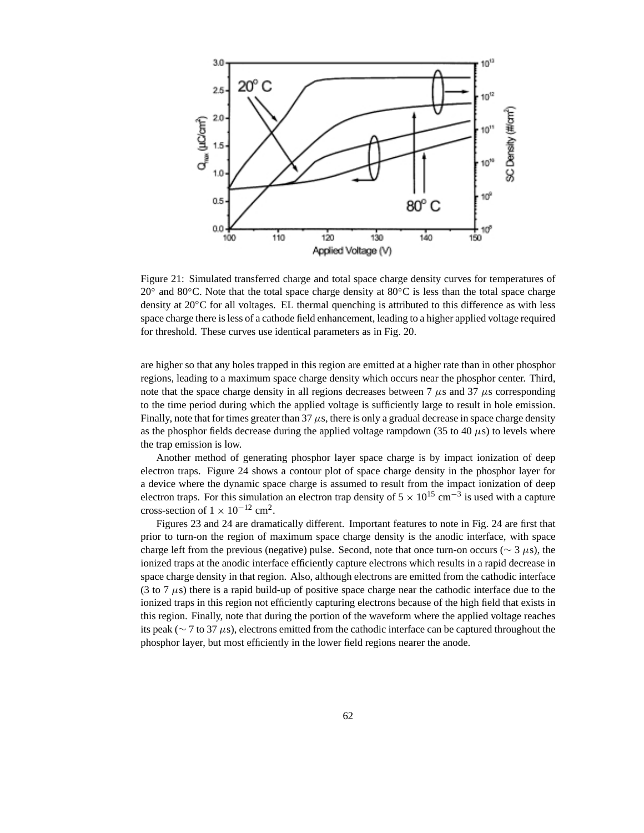

Figure 21: Simulated transferred charge and total space charge density curves for temperatures of 20◦ and 80◦C. Note that the total space charge density at 80◦C is less than the total space charge density at 20◦C for all voltages. EL thermal quenching is attributed to this difference as with less space charge there is less of a cathode field enhancement, leading to a higher applied voltage required for threshold. These curves use identical parameters as in Fig. 20.

are higher so that any holes trapped in this region are emitted at a higher rate than in other phosphor regions, leading to a maximum space charge density which occurs near the phosphor center. Third, note that the space charge density in all regions decreases between 7  $\mu$ s and 37  $\mu$ s corresponding to the time period during which the applied voltage is sufficiently large to result in hole emission. Finally, note that for times greater than  $37 \mu s$ , there is only a gradual decrease in space charge density as the phosphor fields decrease during the applied voltage rampdown (35 to 40  $\mu$ s) to levels where the trap emission is low.

Another method of generating phosphor layer space charge is by impact ionization of deep electron traps. Figure 24 shows a contour plot of space charge density in the phosphor layer for a device where the dynamic space charge is assumed to result from the impact ionization of deep electron traps. For this simulation an electron trap density of  $5 \times 10^{15}$  cm<sup>-3</sup> is used with a capture cross-section of  $1 \times 10^{-12}$  cm<sup>2</sup>.

Figures 23 and 24 are dramatically different. Important features to note in Fig. 24 are first that prior to turn-on the region of maximum space charge density is the anodic interface, with space charge left from the previous (negative) pulse. Second, note that once turn-on occurs ( $\sim$  3  $\mu$ s), the ionized traps at the anodic interface efficiently capture electrons which results in a rapid decrease in space charge density in that region. Also, although electrons are emitted from the cathodic interface (3 to 7  $\mu$ s) there is a rapid build-up of positive space charge near the cathodic interface due to the ionized traps in this region not efficiently capturing electrons because of the high field that exists in this region. Finally, note that during the portion of the waveform where the applied voltage reaches its peak (∼ 7 to 37 µs), electrons emitted from the cathodic interface can be captured throughout the phosphor layer, but most efficiently in the lower field regions nearer the anode.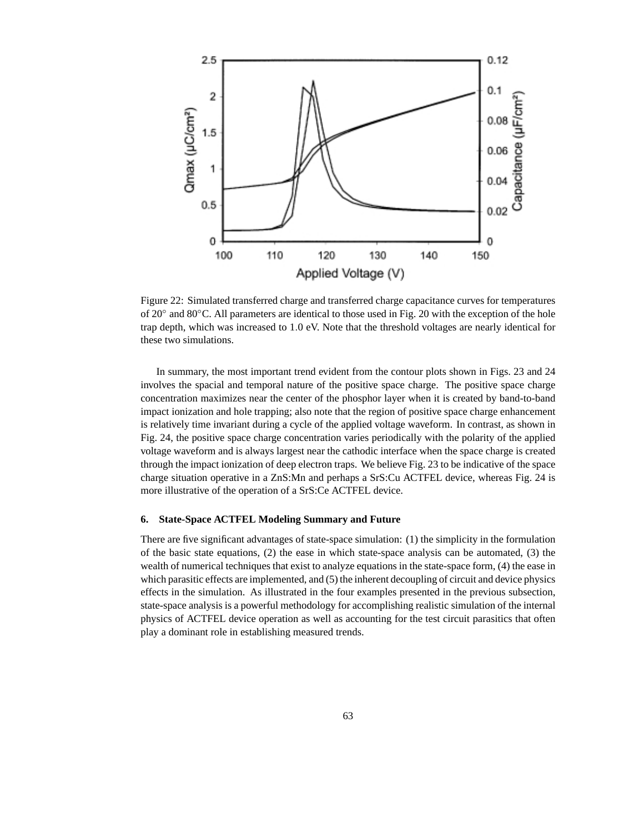

Figure 22: Simulated transferred charge and transferred charge capacitance curves for temperatures of 20◦ and 80◦C. All parameters are identical to those used in Fig. 20 with the exception of the hole trap depth, which was increased to 1.0 eV. Note that the threshold voltages are nearly identical for these two simulations.

In summary, the most important trend evident from the contour plots shown in Figs. 23 and 24 involves the spacial and temporal nature of the positive space charge. The positive space charge concentration maximizes near the center of the phosphor layer when it is created by band-to-band impact ionization and hole trapping; also note that the region of positive space charge enhancement is relatively time invariant during a cycle of the applied voltage waveform. In contrast, as shown in Fig. 24, the positive space charge concentration varies periodically with the polarity of the applied voltage waveform and is always largest near the cathodic interface when the space charge is created through the impact ionization of deep electron traps. We believe Fig. 23 to be indicative of the space charge situation operative in a ZnS:Mn and perhaps a SrS:Cu ACTFEL device, whereas Fig. 24 is more illustrative of the operation of a SrS:Ce ACTFEL device.

#### **6. State-Space ACTFEL Modeling Summary and Future**

There are five significant advantages of state-space simulation: (1) the simplicity in the formulation of the basic state equations, (2) the ease in which state-space analysis can be automated, (3) the wealth of numerical techniques that exist to analyze equations in the state-space form, (4) the ease in which parasitic effects are implemented, and (5) the inherent decoupling of circuit and device physics effects in the simulation. As illustrated in the four examples presented in the previous subsection, state-space analysis is a powerful methodology for accomplishing realistic simulation of the internal physics of ACTFEL device operation as well as accounting for the test circuit parasitics that often play a dominant role in establishing measured trends.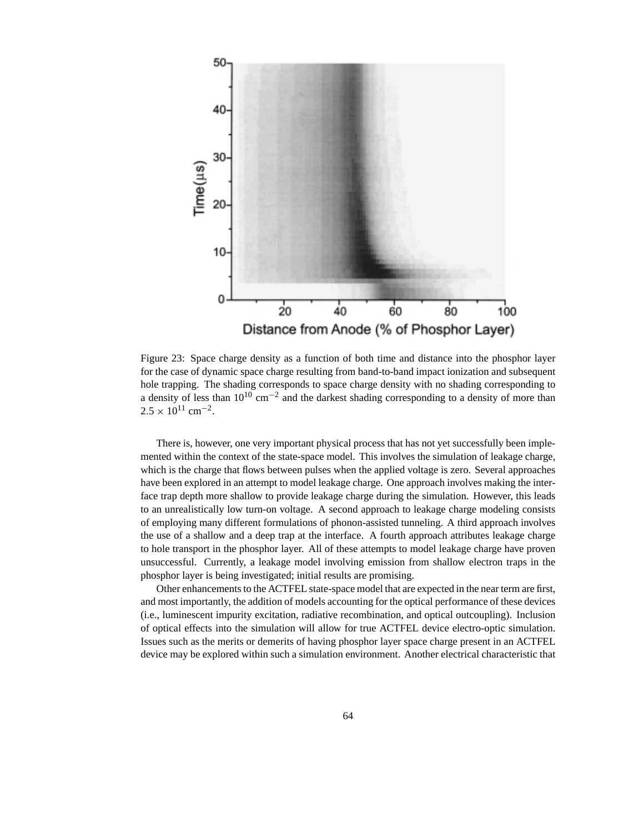

Figure 23: Space charge density as a function of both time and distance into the phosphor layer for the case of dynamic space charge resulting from band-to-band impact ionization and subsequent hole trapping. The shading corresponds to space charge density with no shading corresponding to a density of less than  $10^{10}$  cm<sup>-2</sup> and the darkest shading corresponding to a density of more than  $2.5 \times 10^{11}$  cm<sup>-2</sup>.

There is, however, one very important physical process that has not yet successfully been implemented within the context of the state-space model. This involves the simulation of leakage charge, which is the charge that flows between pulses when the applied voltage is zero. Several approaches have been explored in an attempt to model leakage charge. One approach involves making the interface trap depth more shallow to provide leakage charge during the simulation. However, this leads to an unrealistically low turn-on voltage. A second approach to leakage charge modeling consists of employing many different formulations of phonon-assisted tunneling. A third approach involves the use of a shallow and a deep trap at the interface. A fourth approach attributes leakage charge to hole transport in the phosphor layer. All of these attempts to model leakage charge have proven unsuccessful. Currently, a leakage model involving emission from shallow electron traps in the phosphor layer is being investigated; initial results are promising.

Other enhancements to the ACTFEL state-space model that are expected in the near term are first, and most importantly, the addition of models accounting for the optical performance of these devices (i.e., luminescent impurity excitation, radiative recombination, and optical outcoupling). Inclusion of optical effects into the simulation will allow for true ACTFEL device electro-optic simulation. Issues such as the merits or demerits of having phosphor layer space charge present in an ACTFEL device may be explored within such a simulation environment. Another electrical characteristic that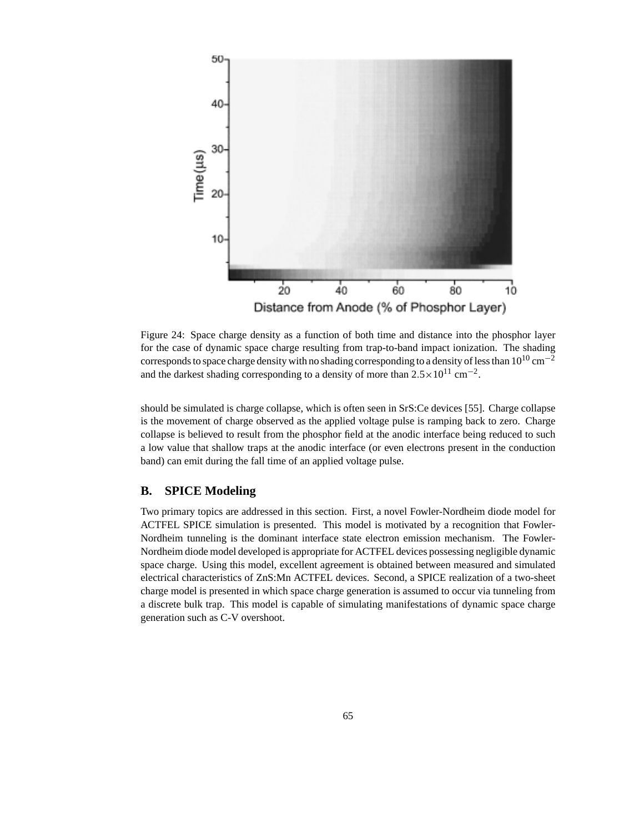

Figure 24: Space charge density as a function of both time and distance into the phosphor layer for the case of dynamic space charge resulting from trap-to-band impact ionization. The shading corresponds to space charge density with no shading corresponding to a density of less than  $10^{10}$  cm<sup>-2</sup> and the darkest shading corresponding to a density of more than  $2.5 \times 10^{11}$  cm<sup>-2</sup>.

should be simulated is charge collapse, which is often seen in SrS:Ce devices [55]. Charge collapse is the movement of charge observed as the applied voltage pulse is ramping back to zero. Charge collapse is believed to result from the phosphor field at the anodic interface being reduced to such a low value that shallow traps at the anodic interface (or even electrons present in the conduction band) can emit during the fall time of an applied voltage pulse.

#### **B. SPICE Modeling**

Two primary topics are addressed in this section. First, a novel Fowler-Nordheim diode model for ACTFEL SPICE simulation is presented. This model is motivated by a recognition that Fowler-Nordheim tunneling is the dominant interface state electron emission mechanism. The Fowler-Nordheim diode model developed is appropriate for ACTFEL devices possessing negligible dynamic space charge. Using this model, excellent agreement is obtained between measured and simulated electrical characteristics of ZnS:Mn ACTFEL devices. Second, a SPICE realization of a two-sheet charge model is presented in which space charge generation is assumed to occur via tunneling from a discrete bulk trap. This model is capable of simulating manifestations of dynamic space charge generation such as C-V overshoot.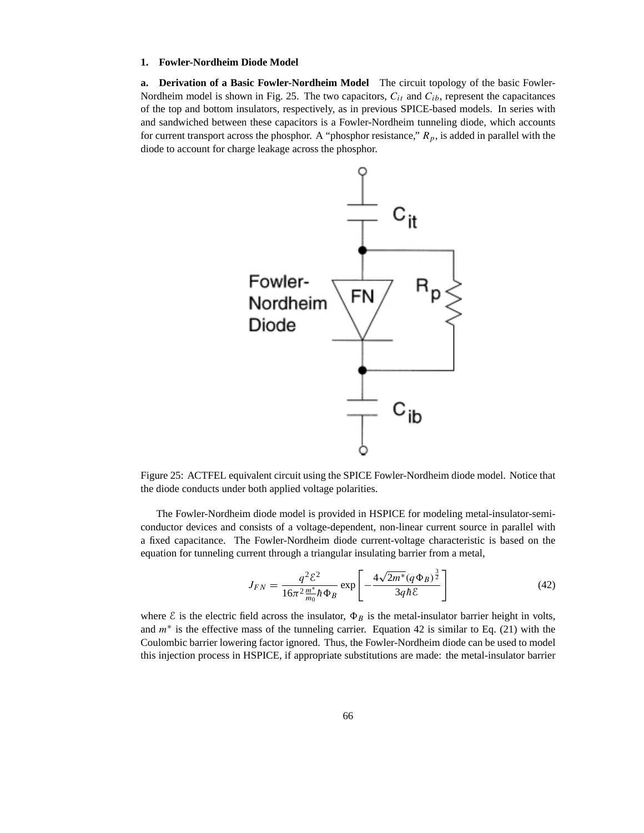#### **1. Fowler-Nordheim Diode Model**

**a. Derivation of a Basic Fowler-Nordheim Model** The circuit topology of the basic Fowler-Nordheim model is shown in Fig. 25. The two capacitors,  $C_{it}$  and  $C_{ib}$ , represent the capacitances of the top and bottom insulators, respectively, as in previous SPICE-based models. In series with and sandwiched between these capacitors is a Fowler-Nordheim tunneling diode, which accounts for current transport across the phosphor. A "phosphor resistance,"  $R_p$ , is added in parallel with the diode to account for charge leakage across the phosphor.



Figure 25: ACTFEL equivalent circuit using the SPICE Fowler-Nordheim diode model. Notice that the diode conducts under both applied voltage polarities.

The Fowler-Nordheim diode model is provided in HSPICE for modeling metal-insulator-semiconductor devices and consists of a voltage-dependent, non-linear current source in parallel with a fixed capacitance. The Fowler-Nordheim diode current-voltage characteristic is based on the equation for tunneling current through a triangular insulating barrier from a metal,

$$
J_{FN} = \frac{q^2 \mathcal{E}^2}{16\pi^2 \frac{m^*}{m_0} \hbar \Phi_B} \exp\left[-\frac{4\sqrt{2m^* (q \Phi_B)^{\frac{3}{2}}}}{3q \hbar \mathcal{E}}\right]
$$
(42)

where  $\mathcal E$  is the electric field across the insulator,  $\Phi_B$  is the metal-insulator barrier height in volts, and  $m^*$  is the effective mass of the tunneling carrier. Equation 42 is similar to Eq. (21) with the Coulombic barrier lowering factor ignored. Thus, the Fowler-Nordheim diode can be used to model this injection process in HSPICE, if appropriate substitutions are made: the metal-insulator barrier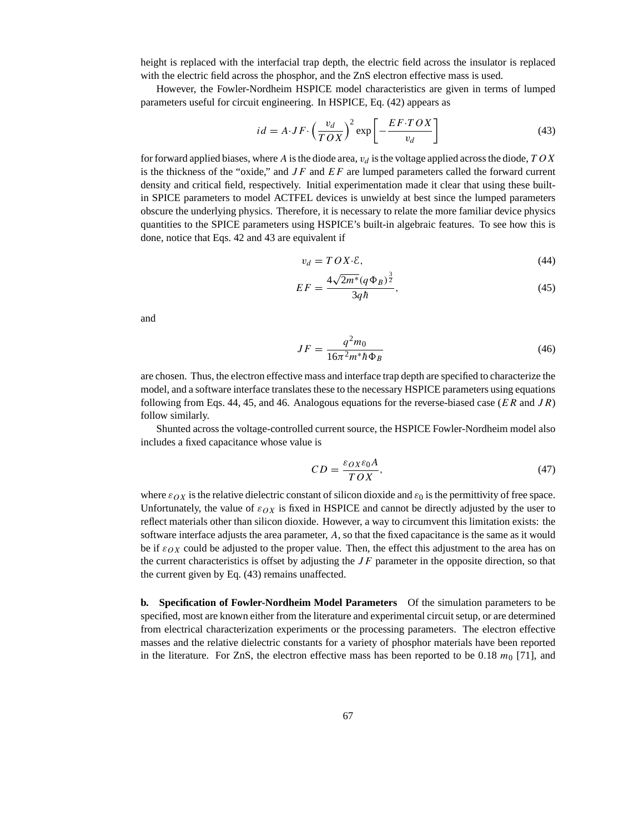height is replaced with the interfacial trap depth, the electric field across the insulator is replaced with the electric field across the phosphor, and the ZnS electron effective mass is used.

However, the Fowler-Nordheim HSPICE model characteristics are given in terms of lumped parameters useful for circuit engineering. In HSPICE, Eq. (42) appears as

$$
id = A \cdot JF \cdot \left(\frac{v_d}{TOX}\right)^2 \exp\left[-\frac{EF \cdot TOX}{v_d}\right]
$$
\n(43)

for forward applied biases, where A is the diode area,  $v<sub>d</sub>$  is the voltage applied across the diode, TOX is the thickness of the "oxide," and  $JF$  and  $EF$  are lumped parameters called the forward current density and critical field, respectively. Initial experimentation made it clear that using these builtin SPICE parameters to model ACTFEL devices is unwieldy at best since the lumped parameters obscure the underlying physics. Therefore, it is necessary to relate the more familiar device physics quantities to the SPICE parameters using HSPICE's built-in algebraic features. To see how this is done, notice that Eqs. 42 and 43 are equivalent if

$$
v_d = TOX \cdot \mathcal{E},\tag{44}
$$

$$
EF = \frac{4\sqrt{2m^*(q\Phi_B)^{\frac{3}{2}}}}{3q\hbar},\tag{45}
$$

and

$$
JF = \frac{q^2 m_0}{16\pi^2 m^* \hbar \Phi_B}
$$
(46)

are chosen. Thus, the electron effective mass and interface trap depth are specified to characterize the model, and a software interface translates these to the necessary HSPICE parameters using equations following from Eqs. 44, 45, and 46. Analogous equations for the reverse-biased case ( $ER$  and  $JR$ ) follow similarly.

Shunted across the voltage-controlled current source, the HSPICE Fowler-Nordheim model also includes a fixed capacitance whose value is

$$
CD = \frac{\varepsilon_{OX}\varepsilon_{0}A}{TOX},\tag{47}
$$

where  $\varepsilon_{OX}$  is the relative dielectric constant of silicon dioxide and  $\varepsilon_0$  is the permittivity of free space. Unfortunately, the value of  $\varepsilon_{OX}$  is fixed in HSPICE and cannot be directly adjusted by the user to reflect materials other than silicon dioxide. However, a way to circumvent this limitation exists: the software interface adjusts the area parameter, A, so that the fixed capacitance is the same as it would be if  $\varepsilon_{OX}$  could be adjusted to the proper value. Then, the effect this adjustment to the area has on the current characteristics is offset by adjusting the  $JF$  parameter in the opposite direction, so that the current given by Eq. (43) remains unaffected.

**b. Specification of Fowler-Nordheim Model Parameters** Of the simulation parameters to be specified, most are known either from the literature and experimental circuit setup, or are determined from electrical characterization experiments or the processing parameters. The electron effective masses and the relative dielectric constants for a variety of phosphor materials have been reported in the literature. For ZnS, the electron effective mass has been reported to be 0.18  $m_0$  [71], and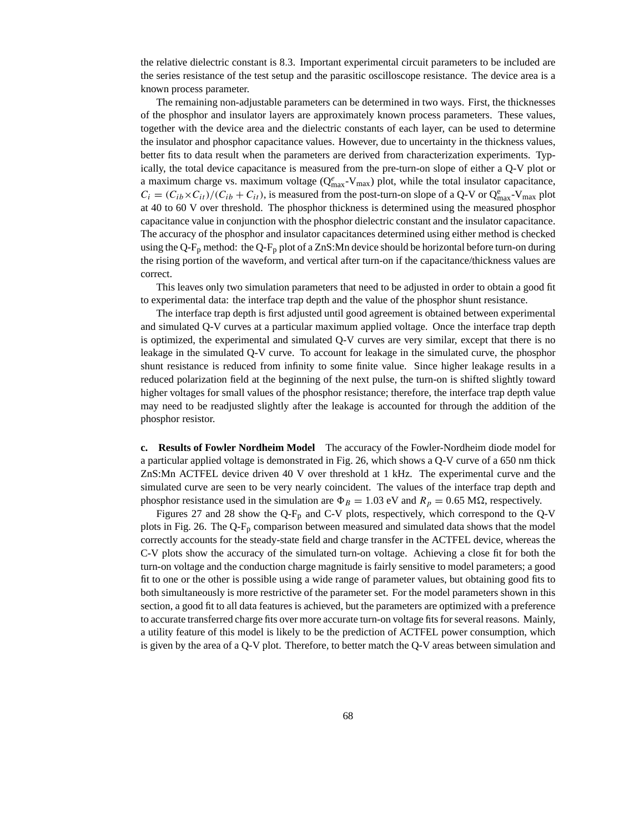the relative dielectric constant is 8.3. Important experimental circuit parameters to be included are the series resistance of the test setup and the parasitic oscilloscope resistance. The device area is a known process parameter.

The remaining non-adjustable parameters can be determined in two ways. First, the thicknesses of the phosphor and insulator layers are approximately known process parameters. These values, together with the device area and the dielectric constants of each layer, can be used to determine the insulator and phosphor capacitance values. However, due to uncertainty in the thickness values, better fits to data result when the parameters are derived from characterization experiments. Typically, the total device capacitance is measured from the pre-turn-on slope of either a Q-V plot or a maximum charge vs. maximum voltage  $(Q_{max}^e-V_{max})$  plot, while the total insulator capacitance,  $C_i = (C_{ib} \times C_{it})/(C_{ib} + C_{it})$ , is measured from the post-turn-on slope of a Q-V or  $Q_{max}^e$ -V<sub>max</sub> plot at 40 to 60 V over threshold. The phosphor thickness is determined using the measured phosphor capacitance value in conjunction with the phosphor dielectric constant and the insulator capacitance. The accuracy of the phosphor and insulator capacitances determined using either method is checked using the Q-F<sub>p</sub> method: the Q-F<sub>p</sub> plot of a ZnS:Mn device should be horizontal before turn-on during the rising portion of the waveform, and vertical after turn-on if the capacitance/thickness values are correct.

This leaves only two simulation parameters that need to be adjusted in order to obtain a good fit to experimental data: the interface trap depth and the value of the phosphor shunt resistance.

The interface trap depth is first adjusted until good agreement is obtained between experimental and simulated Q-V curves at a particular maximum applied voltage. Once the interface trap depth is optimized, the experimental and simulated Q-V curves are very similar, except that there is no leakage in the simulated Q-V curve. To account for leakage in the simulated curve, the phosphor shunt resistance is reduced from infinity to some finite value. Since higher leakage results in a reduced polarization field at the beginning of the next pulse, the turn-on is shifted slightly toward higher voltages for small values of the phosphor resistance; therefore, the interface trap depth value may need to be readjusted slightly after the leakage is accounted for through the addition of the phosphor resistor.

**c. Results of Fowler Nordheim Model** The accuracy of the Fowler-Nordheim diode model for a particular applied voltage is demonstrated in Fig. 26, which shows a Q-V curve of a 650 nm thick ZnS:Mn ACTFEL device driven 40 V over threshold at 1 kHz. The experimental curve and the simulated curve are seen to be very nearly coincident. The values of the interface trap depth and phosphor resistance used in the simulation are  $\Phi_B = 1.03$  eV and  $R_p = 0.65$  M $\Omega$ , respectively.

Figures 27 and 28 show the Q-F<sub>p</sub> and C-V plots, respectively, which correspond to the Q-V plots in Fig. 26. The Q-Fp comparison between measured and simulated data shows that the model correctly accounts for the steady-state field and charge transfer in the ACTFEL device, whereas the C-V plots show the accuracy of the simulated turn-on voltage. Achieving a close fit for both the turn-on voltage and the conduction charge magnitude is fairly sensitive to model parameters; a good fit to one or the other is possible using a wide range of parameter values, but obtaining good fits to both simultaneously is more restrictive of the parameter set. For the model parameters shown in this section, a good fit to all data features is achieved, but the parameters are optimized with a preference to accurate transferred charge fits over more accurate turn-on voltage fits for several reasons. Mainly, a utility feature of this model is likely to be the prediction of ACTFEL power consumption, which is given by the area of a Q-V plot. Therefore, to better match the Q-V areas between simulation and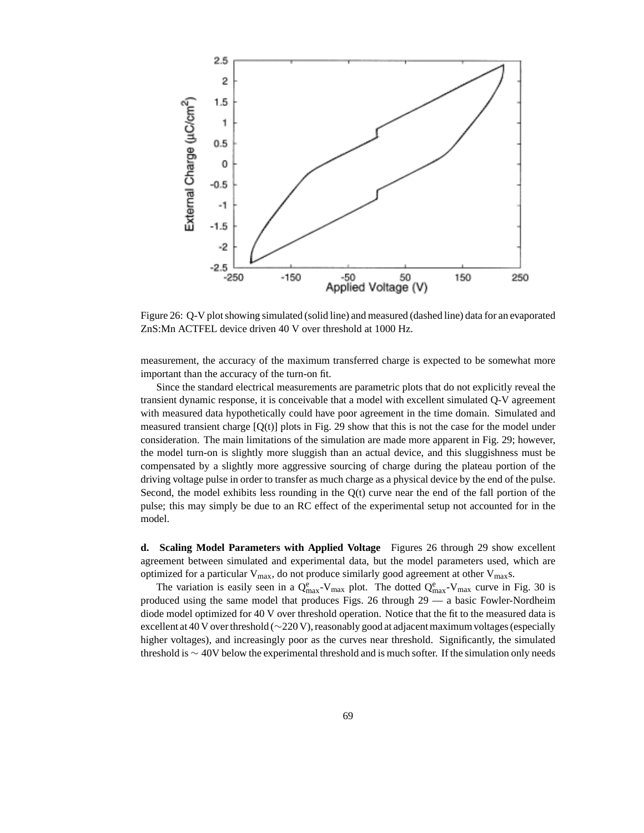

Figure 26: Q-V plot showing simulated (solid line) and measured (dashed line) data for an evaporated ZnS:Mn ACTFEL device driven 40 V over threshold at 1000 Hz.

measurement, the accuracy of the maximum transferred charge is expected to be somewhat more important than the accuracy of the turn-on fit.

Since the standard electrical measurements are parametric plots that do not explicitly reveal the transient dynamic response, it is conceivable that a model with excellent simulated Q-V agreement with measured data hypothetically could have poor agreement in the time domain. Simulated and measured transient charge  $[Q(t)]$  plots in Fig. 29 show that this is not the case for the model under consideration. The main limitations of the simulation are made more apparent in Fig. 29; however, the model turn-on is slightly more sluggish than an actual device, and this sluggishness must be compensated by a slightly more aggressive sourcing of charge during the plateau portion of the driving voltage pulse in order to transfer as much charge as a physical device by the end of the pulse. Second, the model exhibits less rounding in the Q(t) curve near the end of the fall portion of the pulse; this may simply be due to an RC effect of the experimental setup not accounted for in the model.

**d. Scaling Model Parameters with Applied Voltage** Figures 26 through 29 show excellent agreement between simulated and experimental data, but the model parameters used, which are optimized for a particular  $V_{max}$ , do not produce similarly good agreement at other  $V_{max}$ s.

The variation is easily seen in a  $Q_{max}^e$ -V<sub>max</sub> plot. The dotted  $Q_{max}^e$ -V<sub>max</sub> curve in Fig. 30 is produced using the same model that produces Figs. 26 through 29 — a basic Fowler-Nordheim diode model optimized for 40 V over threshold operation. Notice that the fit to the measured data is excellent at 40 V over threshold (∼220 V), reasonably good at adjacent maximum voltages (especially higher voltages), and increasingly poor as the curves near threshold. Significantly, the simulated threshold is ∼ 40V below the experimental threshold and is much softer. If the simulation only needs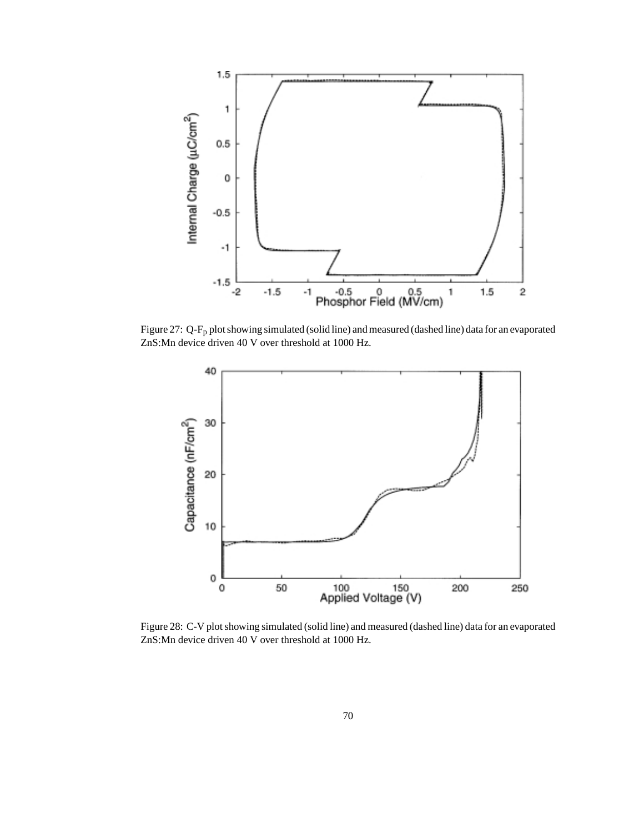

Figure 27: Q-Fp plot showing simulated (solid line) and measured (dashed line) data for an evaporated ZnS:Mn device driven 40 V over threshold at 1000 Hz.



Figure 28: C-V plot showing simulated (solid line) and measured (dashed line) data for an evaporated ZnS:Mn device driven 40 V over threshold at 1000 Hz.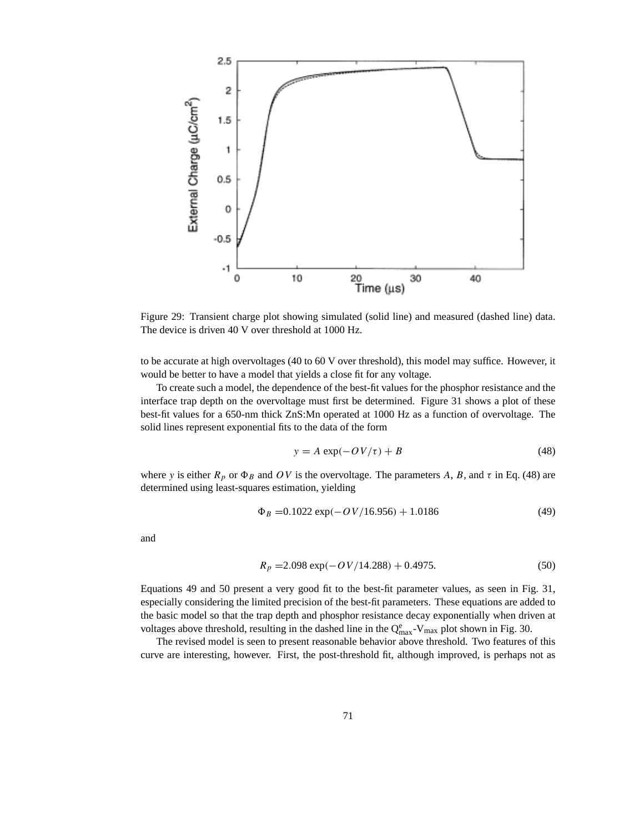

Figure 29: Transient charge plot showing simulated (solid line) and measured (dashed line) data. The device is driven 40 V over threshold at 1000 Hz.

to be accurate at high overvoltages (40 to 60 V over threshold), this model may suffice. However, it would be better to have a model that yields a close fit for any voltage.

To create such a model, the dependence of the best-fit values for the phosphor resistance and the interface trap depth on the overvoltage must first be determined. Figure 31 shows a plot of these best-fit values for a 650-nm thick ZnS:Mn operated at 1000 Hz as a function of overvoltage. The solid lines represent exponential fits to the data of the form

$$
y = A \exp(-OV/\tau) + B \tag{48}
$$

where y is either  $R_p$  or  $\Phi_B$  and OV is the overvoltage. The parameters A, B, and τ in Eq. (48) are determined using least-squares estimation, yielding

$$
\Phi_B = 0.1022 \exp(-OV/16.956) + 1.0186 \tag{49}
$$

and

$$
R_p = 2.098 \exp(-OV/14.288) + 0.4975. \tag{50}
$$

Equations 49 and 50 present a very good fit to the best-fit parameter values, as seen in Fig. 31, especially considering the limited precision of the best-fit parameters. These equations are added to the basic model so that the trap depth and phosphor resistance decay exponentially when driven at voltages above threshold, resulting in the dashed line in the  $Q_{\text{max}}^e$ -V<sub>max</sub> plot shown in Fig. 30.

The revised model is seen to present reasonable behavior above threshold. Two features of this curve are interesting, however. First, the post-threshold fit, although improved, is perhaps not as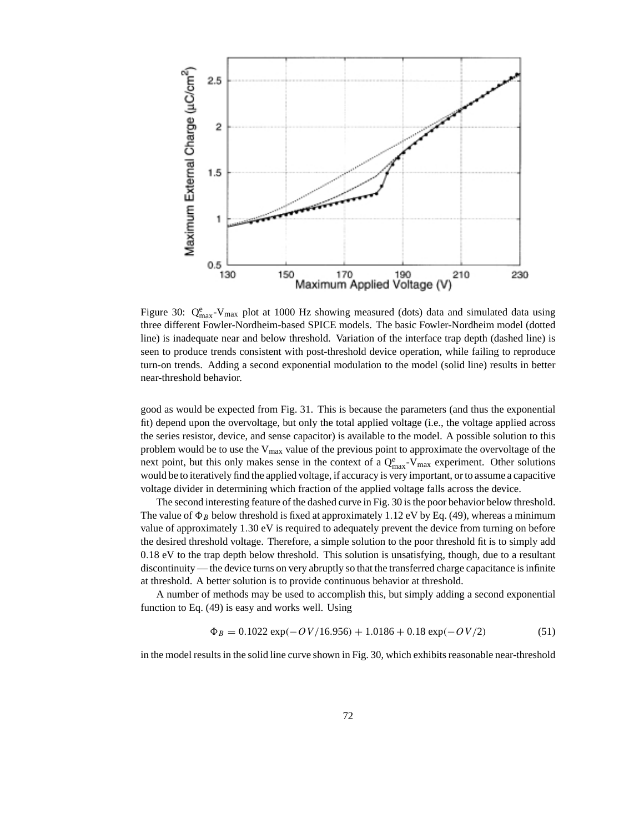

Figure 30:  $Q_{\text{max}}^e$ -V<sub>max</sub> plot at 1000 Hz showing measured (dots) data and simulated data using three different Fowler-Nordheim-based SPICE models. The basic Fowler-Nordheim model (dotted line) is inadequate near and below threshold. Variation of the interface trap depth (dashed line) is seen to produce trends consistent with post-threshold device operation, while failing to reproduce turn-on trends. Adding a second exponential modulation to the model (solid line) results in better near-threshold behavior.

good as would be expected from Fig. 31. This is because the parameters (and thus the exponential fit) depend upon the overvoltage, but only the total applied voltage (i.e., the voltage applied across the series resistor, device, and sense capacitor) is available to the model. A possible solution to this problem would be to use the  $V_{\text{max}}$  value of the previous point to approximate the overvoltage of the next point, but this only makes sense in the context of a  $Q_{\text{max}}^e$ -V<sub>max</sub> experiment. Other solutions would be to iteratively find the applied voltage, if accuracy is very important, or to assume a capacitive voltage divider in determining which fraction of the applied voltage falls across the device.

The second interesting feature of the dashed curve in Fig. 30 is the poor behavior below threshold. The value of  $\Phi_B$  below threshold is fixed at approximately 1.12 eV by Eq. (49), whereas a minimum value of approximately 1.30 eV is required to adequately prevent the device from turning on before the desired threshold voltage. Therefore, a simple solution to the poor threshold fit is to simply add 0.18 eV to the trap depth below threshold. This solution is unsatisfying, though, due to a resultant discontinuity — the device turns on very abruptly so that the transferred charge capacitance is infinite at threshold. A better solution is to provide continuous behavior at threshold.

A number of methods may be used to accomplish this, but simply adding a second exponential function to Eq. (49) is easy and works well. Using

$$
\Phi_B = 0.1022 \exp(-OV/16.956) + 1.0186 + 0.18 \exp(-OV/2)
$$
 (51)

in the model results in the solid line curve shown in Fig. 30, which exhibits reasonable near-threshold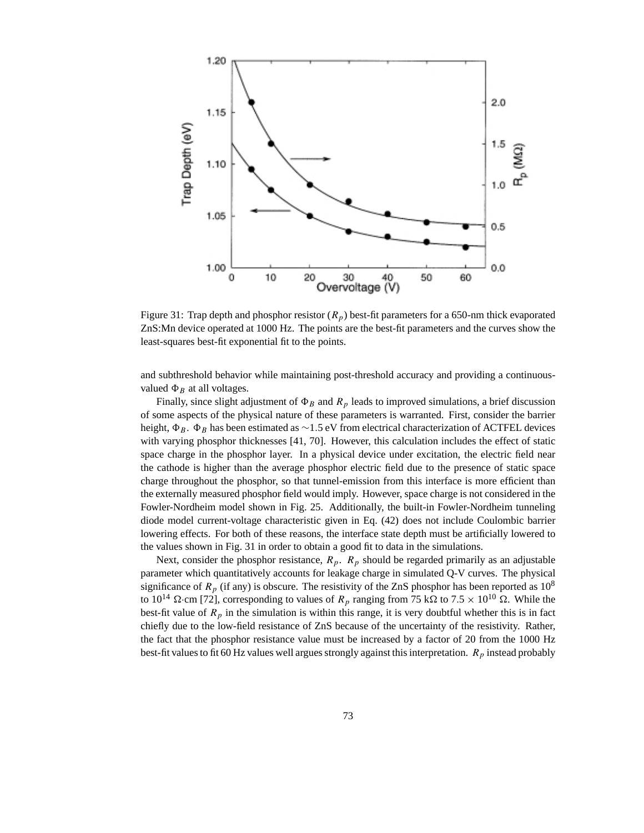

Figure 31: Trap depth and phosphor resistor  $(R_p)$  best-fit parameters for a 650-nm thick evaporated ZnS:Mn device operated at 1000 Hz. The points are the best-fit parameters and the curves show the least-squares best-fit exponential fit to the points.

and subthreshold behavior while maintaining post-threshold accuracy and providing a continuousvalued  $\Phi_B$  at all voltages.

Finally, since slight adjustment of  $\Phi_B$  and  $R_p$  leads to improved simulations, a brief discussion of some aspects of the physical nature of these parameters is warranted. First, consider the barrier height,  $\Phi_B$ .  $\Phi_B$  has been estimated as ∼1.5 eV from electrical characterization of ACTFEL devices with varying phosphor thicknesses [41, 70]. However, this calculation includes the effect of static space charge in the phosphor layer. In a physical device under excitation, the electric field near the cathode is higher than the average phosphor electric field due to the presence of static space charge throughout the phosphor, so that tunnel-emission from this interface is more efficient than the externally measured phosphor field would imply. However, space charge is not considered in the Fowler-Nordheim model shown in Fig. 25. Additionally, the built-in Fowler-Nordheim tunneling diode model current-voltage characteristic given in Eq. (42) does not include Coulombic barrier lowering effects. For both of these reasons, the interface state depth must be artificially lowered to the values shown in Fig. 31 in order to obtain a good fit to data in the simulations.

Next, consider the phosphor resistance,  $R_p$ .  $R_p$  should be regarded primarily as an adjustable parameter which quantitatively accounts for leakage charge in simulated Q-V curves. The physical significance of  $R_p$  (if any) is obscure. The resistivity of the ZnS phosphor has been reported as  $10^8$ to 10<sup>14</sup>  $\Omega$  cm [72], corresponding to values of  $R_p$  ranging from 75 k $\Omega$  to 7.5  $\times$  10<sup>10</sup>  $\Omega$ . While the best-fit value of  $R_p$  in the simulation is within this range, it is very doubtful whether this is in fact chiefly due to the low-field resistance of ZnS because of the uncertainty of the resistivity. Rather, the fact that the phosphor resistance value must be increased by a factor of 20 from the 1000 Hz best-fit values to fit 60 Hz values well argues strongly against this interpretation.  $R_p$  instead probably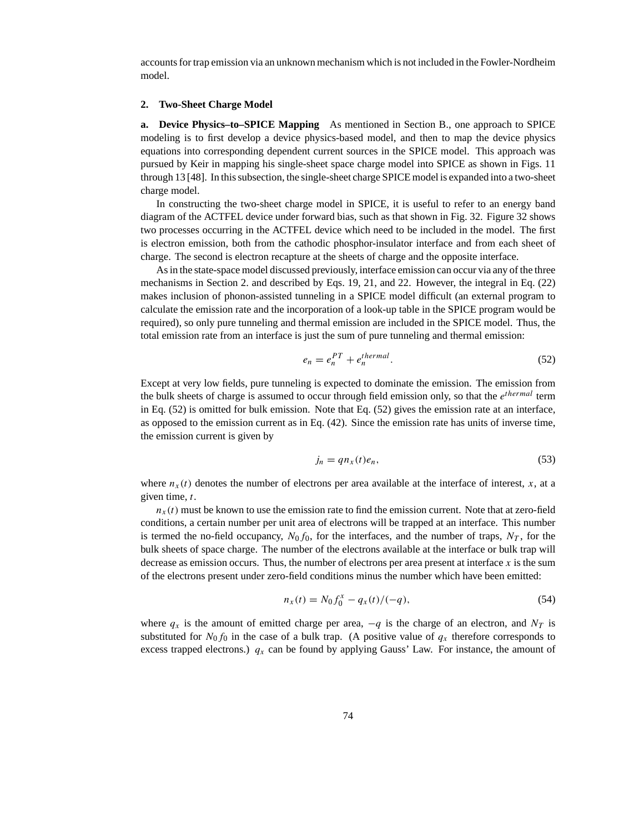accounts for trap emission via an unknown mechanism which is not included in the Fowler-Nordheim model.

#### **2. Two-Sheet Charge Model**

**a. Device Physics–to–SPICE Mapping** As mentioned in Section B., one approach to SPICE modeling is to first develop a device physics-based model, and then to map the device physics equations into corresponding dependent current sources in the SPICE model. This approach was pursued by Keir in mapping his single-sheet space charge model into SPICE as shown in Figs. 11 through 13 [48]. In this subsection, the single-sheet charge SPICE model is expanded into a two-sheet charge model.

In constructing the two-sheet charge model in SPICE, it is useful to refer to an energy band diagram of the ACTFEL device under forward bias, such as that shown in Fig. 32. Figure 32 shows two processes occurring in the ACTFEL device which need to be included in the model. The first is electron emission, both from the cathodic phosphor-insulator interface and from each sheet of charge. The second is electron recapture at the sheets of charge and the opposite interface.

As in the state-space model discussed previously, interface emission can occur via any of the three mechanisms in Section 2. and described by Eqs. 19, 21, and 22. However, the integral in Eq. (22) makes inclusion of phonon-assisted tunneling in a SPICE model difficult (an external program to calculate the emission rate and the incorporation of a look-up table in the SPICE program would be required), so only pure tunneling and thermal emission are included in the SPICE model. Thus, the total emission rate from an interface is just the sum of pure tunneling and thermal emission:

$$
e_n = e_n^{PT} + e_n^{thermal}.
$$
\n(52)

Except at very low fields, pure tunneling is expected to dominate the emission. The emission from the bulk sheets of charge is assumed to occur through field emission only, so that the  $e^{thermal}$  term in Eq. (52) is omitted for bulk emission. Note that Eq. (52) gives the emission rate at an interface, as opposed to the emission current as in Eq. (42). Since the emission rate has units of inverse time, the emission current is given by

$$
j_n = q n_x(t) e_n, \tag{53}
$$

where  $n<sub>x</sub>(t)$  denotes the number of electrons per area available at the interface of interest, x, at a given time, t.

 $n<sub>x</sub>(t)$  must be known to use the emission rate to find the emission current. Note that at zero-field conditions, a certain number per unit area of electrons will be trapped at an interface. This number is termed the no-field occupancy,  $N_0f_0$ , for the interfaces, and the number of traps,  $N_T$ , for the bulk sheets of space charge. The number of the electrons available at the interface or bulk trap will decrease as emission occurs. Thus, the number of electrons per area present at interface  $x$  is the sum of the electrons present under zero-field conditions minus the number which have been emitted:

$$
n_x(t) = N_0 f_0^x - q_x(t)/(-q),
$$
\n(54)

where  $q_x$  is the amount of emitted charge per area,  $-q$  is the charge of an electron, and  $N_T$  is substituted for  $N_0 f_0$  in the case of a bulk trap. (A positive value of  $q_x$  therefore corresponds to excess trapped electrons.)  $q_x$  can be found by applying Gauss' Law. For instance, the amount of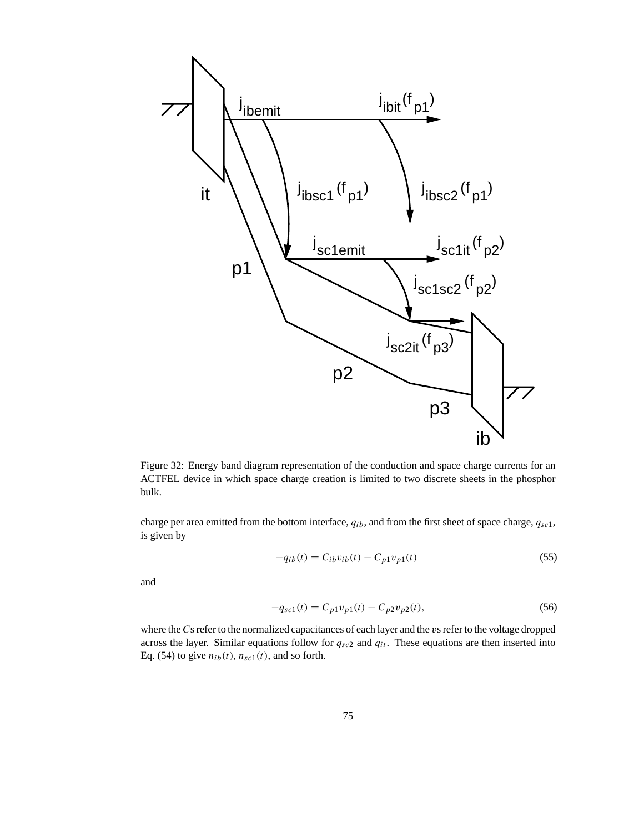

Figure 32: Energy band diagram representation of the conduction and space charge currents for an ACTFEL device in which space charge creation is limited to two discrete sheets in the phosphor bulk.

charge per area emitted from the bottom interface,  $q_{ib}$ , and from the first sheet of space charge,  $q_{sc1}$ , is given by

$$
-q_{ib}(t) = C_{ib}v_{ib}(t) - C_{p1}v_{p1}(t)
$$
\n(55)

and

$$
-q_{sc1}(t) = C_{p1}v_{p1}(t) - C_{p2}v_{p2}(t),
$$
\n(56)

where the Cs refer to the normalized capacitances of each layer and the vs refer to the voltage dropped across the layer. Similar equations follow for  $q_{sc2}$  and  $q_{it}$ . These equations are then inserted into Eq. (54) to give  $n_{ib}(t)$ ,  $n_{sc1}(t)$ , and so forth.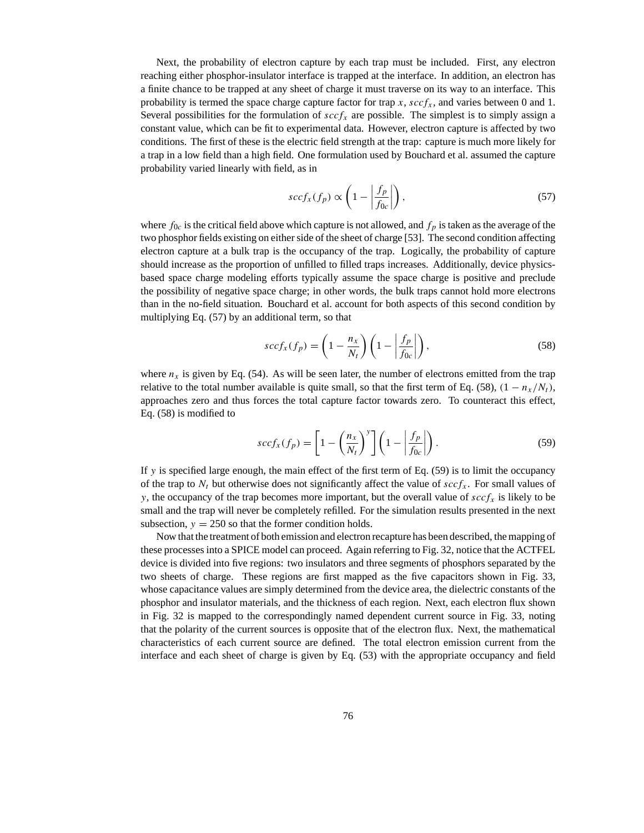Next, the probability of electron capture by each trap must be included. First, any electron reaching either phosphor-insulator interface is trapped at the interface. In addition, an electron has a finite chance to be trapped at any sheet of charge it must traverse on its way to an interface. This probability is termed the space charge capture factor for trap x,  $\sec f_x$ , and varies between 0 and 1. Several possibilities for the formulation of  $\operatorname{sccf}_x$  are possible. The simplest is to simply assign a constant value, which can be fit to experimental data. However, electron capture is affected by two conditions. The first of these is the electric field strength at the trap: capture is much more likely for a trap in a low field than a high field. One formulation used by Bouchard et al. assumed the capture probability varied linearly with field, as in

$$
sccf_x(f_p) \propto \left(1 - \left|\frac{f_p}{f_{0c}}\right|\right),\tag{57}
$$

where  $f_{0c}$  is the critical field above which capture is not allowed, and  $f_p$  is taken as the average of the two phosphor fields existing on either side of the sheet of charge [53]. The second condition affecting electron capture at a bulk trap is the occupancy of the trap. Logically, the probability of capture should increase as the proportion of unfilled to filled traps increases. Additionally, device physicsbased space charge modeling efforts typically assume the space charge is positive and preclude the possibility of negative space charge; in other words, the bulk traps cannot hold more electrons than in the no-field situation. Bouchard et al. account for both aspects of this second condition by multiplying Eq. (57) by an additional term, so that

$$
sccf_x(f_p) = \left(1 - \frac{n_x}{N_t}\right) \left(1 - \left|\frac{f_p}{f_{0c}}\right|\right),\tag{58}
$$

where  $n_x$  is given by Eq. (54). As will be seen later, the number of electrons emitted from the trap relative to the total number available is quite small, so that the first term of Eq. (58),  $(1 - n_x/N_t)$ , approaches zero and thus forces the total capture factor towards zero. To counteract this effect, Eq. (58) is modified to

$$
sccf_x(f_p) = \left[1 - \left(\frac{n_x}{N_t}\right)^y\right] \left(1 - \left|\frac{f_p}{f_{0c}}\right|\right). \tag{59}
$$

If y is specified large enough, the main effect of the first term of Eq.  $(59)$  is to limit the occupancy of the trap to  $N_t$  but otherwise does not significantly affect the value of  $sccf_x$ . For small values of y, the occupancy of the trap becomes more important, but the overall value of  $sccf<sub>x</sub>$  is likely to be small and the trap will never be completely refilled. For the simulation results presented in the next subsection,  $y = 250$  so that the former condition holds.

Now that the treatment of both emission and electron recapture has been described, the mapping of these processes into a SPICE model can proceed. Again referring to Fig. 32, notice that the ACTFEL device is divided into five regions: two insulators and three segments of phosphors separated by the two sheets of charge. These regions are first mapped as the five capacitors shown in Fig. 33, whose capacitance values are simply determined from the device area, the dielectric constants of the phosphor and insulator materials, and the thickness of each region. Next, each electron flux shown in Fig. 32 is mapped to the correspondingly named dependent current source in Fig. 33, noting that the polarity of the current sources is opposite that of the electron flux. Next, the mathematical characteristics of each current source are defined. The total electron emission current from the interface and each sheet of charge is given by Eq. (53) with the appropriate occupancy and field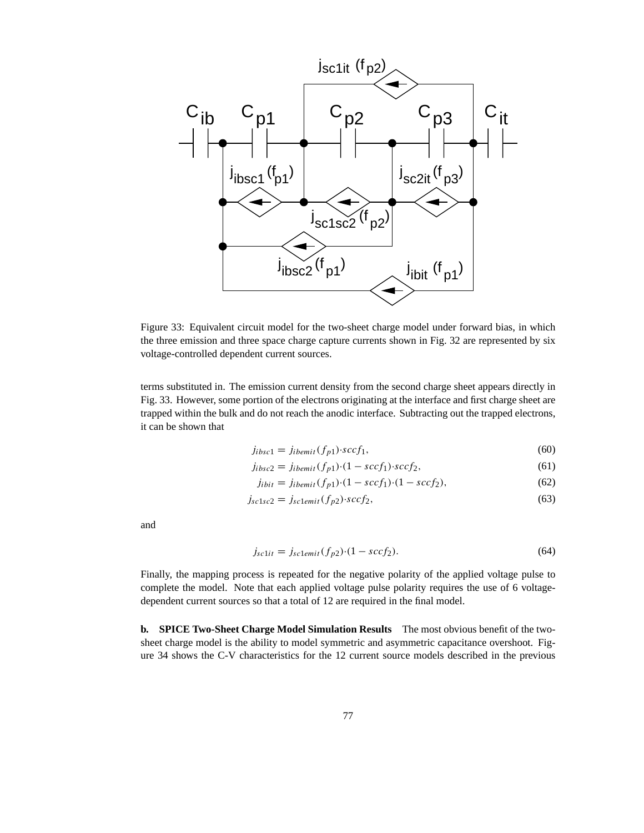

Figure 33: Equivalent circuit model for the two-sheet charge model under forward bias, in which the three emission and three space charge capture currents shown in Fig. 32 are represented by six voltage-controlled dependent current sources.

terms substituted in. The emission current density from the second charge sheet appears directly in Fig. 33. However, some portion of the electrons originating at the interface and first charge sheet are trapped within the bulk and do not reach the anodic interface. Subtracting out the trapped electrons, it can be shown that

$$
j_{ibsc1} = j_{ibemit}(f_{p1}) \cdot sccf_1,\tag{60}
$$

$$
j_{ibsc2} = j_{ibemit}(f_{p1}) \cdot (1 - sccf_1) \cdot sccf_2,\tag{61}
$$

$$
j_{ibit} = j_{ibemit}(f_{p1}) \cdot (1 - \mathit{sccf}_1) \cdot (1 - \mathit{sccf}_2),\tag{62}
$$

$$
j_{sc1sc2} = j_{sc1emit}(f_{p2}) \cdot sccf_2,
$$
\n(63)

and

$$
j_{sc1it} = j_{sc1emit}(f_{p2}) \cdot (1 - \text{scc}f_2). \tag{64}
$$

Finally, the mapping process is repeated for the negative polarity of the applied voltage pulse to complete the model. Note that each applied voltage pulse polarity requires the use of 6 voltagedependent current sources so that a total of 12 are required in the final model.

**b. SPICE Two-Sheet Charge Model Simulation Results** The most obvious benefit of the twosheet charge model is the ability to model symmetric and asymmetric capacitance overshoot. Figure 34 shows the C-V characteristics for the 12 current source models described in the previous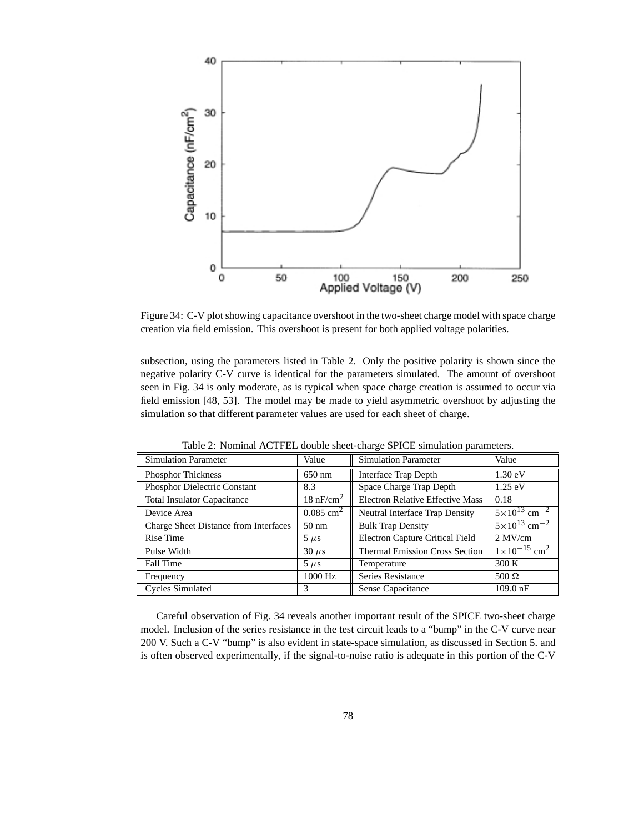

Figure 34: C-V plot showing capacitance overshoot in the two-sheet charge model with space charge creation via field emission. This overshoot is present for both applied voltage polarities.

subsection, using the parameters listed in Table 2. Only the positive polarity is shown since the negative polarity C-V curve is identical for the parameters simulated. The amount of overshoot seen in Fig. 34 is only moderate, as is typical when space charge creation is assumed to occur via field emission [48, 53]. The model may be made to yield asymmetric overshoot by adjusting the simulation so that different parameter values are used for each sheet of charge.

| <b>Simulation Parameter</b>           | Value                   | <b>Simulation Parameter</b>             | Value                               |
|---------------------------------------|-------------------------|-----------------------------------------|-------------------------------------|
| <b>Phosphor Thickness</b>             | $650$ nm                | Interface Trap Depth                    | $1.30 \text{ eV}$                   |
| Phosphor Dielectric Constant          | 8.3                     | Space Charge Trap Depth                 | $1.25 \text{ eV}$                   |
| <b>Total Insulator Capacitance</b>    | $18 \text{ nF/cm}^2$    | <b>Electron Relative Effective Mass</b> | 0.18                                |
| Device Area                           | $0.085$ cm <sup>2</sup> | Neutral Interface Trap Density          | $5 \times 10^{13}$ cm <sup>-2</sup> |
| Charge Sheet Distance from Interfaces | $50 \text{ nm}$         | <b>Bulk Trap Density</b>                | $5 \times 10^{13}$ cm <sup>-2</sup> |
| Rise Time                             | $5 \mu s$               | <b>Electron Capture Critical Field</b>  | $2$ MV/cm                           |
| Pulse Width                           | $30 \mu s$              | <b>Thermal Emission Cross Section</b>   | $1 \times 10^{-15}$ cm <sup>2</sup> |
| Fall Time                             | $5 \mu s$               | Temperature                             | 300 K                               |
| Frequency                             | 1000 Hz                 | Series Resistance                       | $500 \Omega$                        |
| <b>Cycles Simulated</b>               | 3                       | Sense Capacitance                       | $109.0$ nF                          |

Table 2: Nominal ACTFEL double sheet-charge SPICE simulation parameters.

Careful observation of Fig. 34 reveals another important result of the SPICE two-sheet charge model. Inclusion of the series resistance in the test circuit leads to a "bump" in the C-V curve near 200 V. Such a C-V "bump" is also evident in state-space simulation, as discussed in Section 5. and is often observed experimentally, if the signal-to-noise ratio is adequate in this portion of the C-V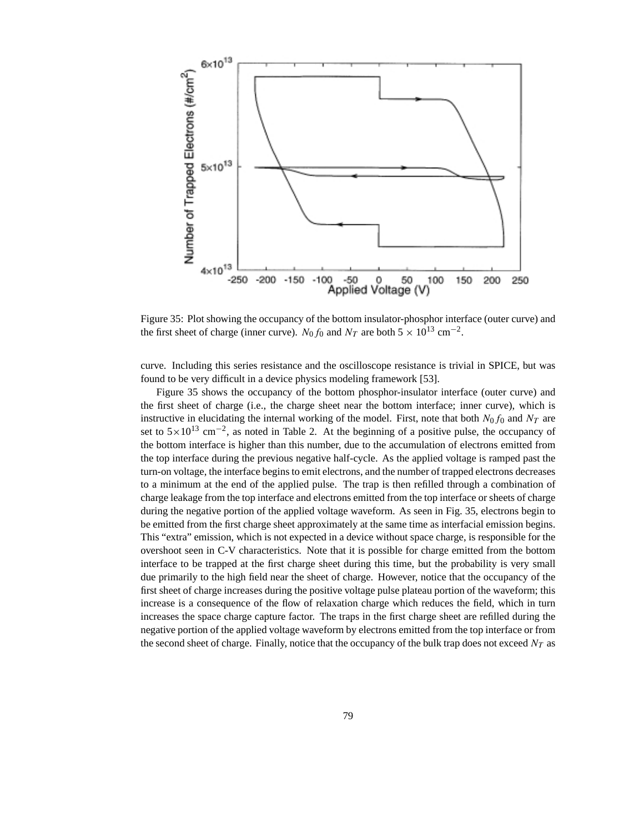

Figure 35: Plot showing the occupancy of the bottom insulator-phosphor interface (outer curve) and the first sheet of charge (inner curve).  $N_0 f_0$  and  $N_T$  are both  $5 \times 10^{13}$  cm<sup>-2</sup>.

curve. Including this series resistance and the oscilloscope resistance is trivial in SPICE, but was found to be very difficult in a device physics modeling framework [53].

Figure 35 shows the occupancy of the bottom phosphor-insulator interface (outer curve) and the first sheet of charge (i.e., the charge sheet near the bottom interface; inner curve), which is instructive in elucidating the internal working of the model. First, note that both  $N_0$  f<sub>0</sub> and  $N_T$  are set to  $5 \times 10^{13}$  cm<sup>-2</sup>, as noted in Table 2. At the beginning of a positive pulse, the occupancy of the bottom interface is higher than this number, due to the accumulation of electrons emitted from the top interface during the previous negative half-cycle. As the applied voltage is ramped past the turn-on voltage, the interface begins to emit electrons, and the number of trapped electrons decreases to a minimum at the end of the applied pulse. The trap is then refilled through a combination of charge leakage from the top interface and electrons emitted from the top interface or sheets of charge during the negative portion of the applied voltage waveform. As seen in Fig. 35, electrons begin to be emitted from the first charge sheet approximately at the same time as interfacial emission begins. This "extra" emission, which is not expected in a device without space charge, is responsible for the overshoot seen in C-V characteristics. Note that it is possible for charge emitted from the bottom interface to be trapped at the first charge sheet during this time, but the probability is very small due primarily to the high field near the sheet of charge. However, notice that the occupancy of the first sheet of charge increases during the positive voltage pulse plateau portion of the waveform; this increase is a consequence of the flow of relaxation charge which reduces the field, which in turn increases the space charge capture factor. The traps in the first charge sheet are refilled during the negative portion of the applied voltage waveform by electrons emitted from the top interface or from the second sheet of charge. Finally, notice that the occupancy of the bulk trap does not exceed  $N_T$  as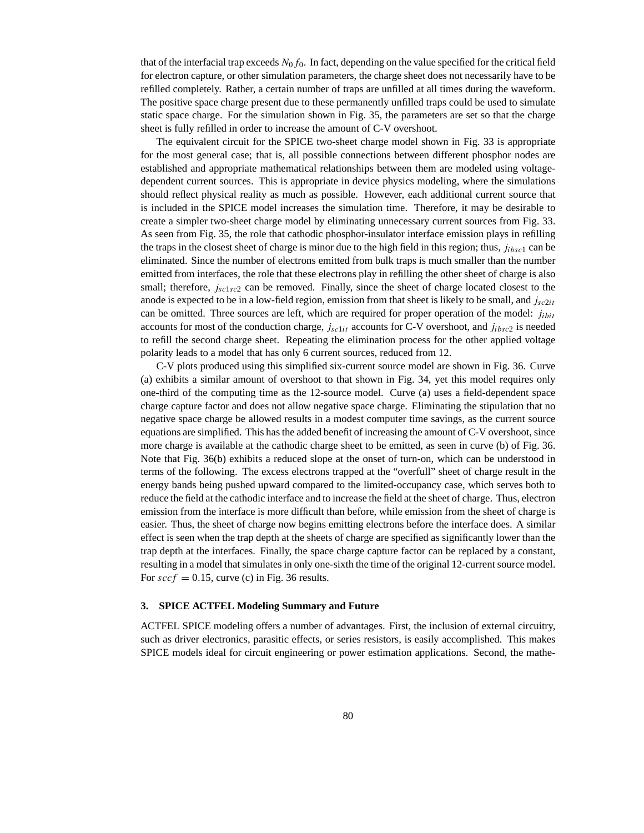that of the interfacial trap exceeds  $N_0f_0$ . In fact, depending on the value specified for the critical field for electron capture, or other simulation parameters, the charge sheet does not necessarily have to be refilled completely. Rather, a certain number of traps are unfilled at all times during the waveform. The positive space charge present due to these permanently unfilled traps could be used to simulate static space charge. For the simulation shown in Fig. 35, the parameters are set so that the charge sheet is fully refilled in order to increase the amount of C-V overshoot.

The equivalent circuit for the SPICE two-sheet charge model shown in Fig. 33 is appropriate for the most general case; that is, all possible connections between different phosphor nodes are established and appropriate mathematical relationships between them are modeled using voltagedependent current sources. This is appropriate in device physics modeling, where the simulations should reflect physical reality as much as possible. However, each additional current source that is included in the SPICE model increases the simulation time. Therefore, it may be desirable to create a simpler two-sheet charge model by eliminating unnecessary current sources from Fig. 33. As seen from Fig. 35, the role that cathodic phosphor-insulator interface emission plays in refilling the traps in the closest sheet of charge is minor due to the high field in this region; thus,  $j_{ibsc1}$  can be eliminated. Since the number of electrons emitted from bulk traps is much smaller than the number emitted from interfaces, the role that these electrons play in refilling the other sheet of charge is also small; therefore,  $j_{sc1sc2}$  can be removed. Finally, since the sheet of charge located closest to the anode is expected to be in a low-field region, emission from that sheet is likely to be small, and  $j<sub>sc2it</sub>$ can be omitted. Three sources are left, which are required for proper operation of the model:  $j_{ibit}$ accounts for most of the conduction charge,  $j_{sc1it}$  accounts for C-V overshoot, and  $j_{ibsc2}$  is needed to refill the second charge sheet. Repeating the elimination process for the other applied voltage polarity leads to a model that has only 6 current sources, reduced from 12.

C-V plots produced using this simplified six-current source model are shown in Fig. 36. Curve (a) exhibits a similar amount of overshoot to that shown in Fig. 34, yet this model requires only one-third of the computing time as the 12-source model. Curve (a) uses a field-dependent space charge capture factor and does not allow negative space charge. Eliminating the stipulation that no negative space charge be allowed results in a modest computer time savings, as the current source equations are simplified. This has the added benefit of increasing the amount of C-V overshoot, since more charge is available at the cathodic charge sheet to be emitted, as seen in curve (b) of Fig. 36. Note that Fig. 36(b) exhibits a reduced slope at the onset of turn-on, which can be understood in terms of the following. The excess electrons trapped at the "overfull" sheet of charge result in the energy bands being pushed upward compared to the limited-occupancy case, which serves both to reduce the field at the cathodic interface and to increase the field at the sheet of charge. Thus, electron emission from the interface is more difficult than before, while emission from the sheet of charge is easier. Thus, the sheet of charge now begins emitting electrons before the interface does. A similar effect is seen when the trap depth at the sheets of charge are specified as significantly lower than the trap depth at the interfaces. Finally, the space charge capture factor can be replaced by a constant, resulting in a model that simulates in only one-sixth the time of the original 12-current source model. For  $sccf = 0.15$ , curve (c) in Fig. 36 results.

#### **3. SPICE ACTFEL Modeling Summary and Future**

ACTFEL SPICE modeling offers a number of advantages. First, the inclusion of external circuitry, such as driver electronics, parasitic effects, or series resistors, is easily accomplished. This makes SPICE models ideal for circuit engineering or power estimation applications. Second, the mathe-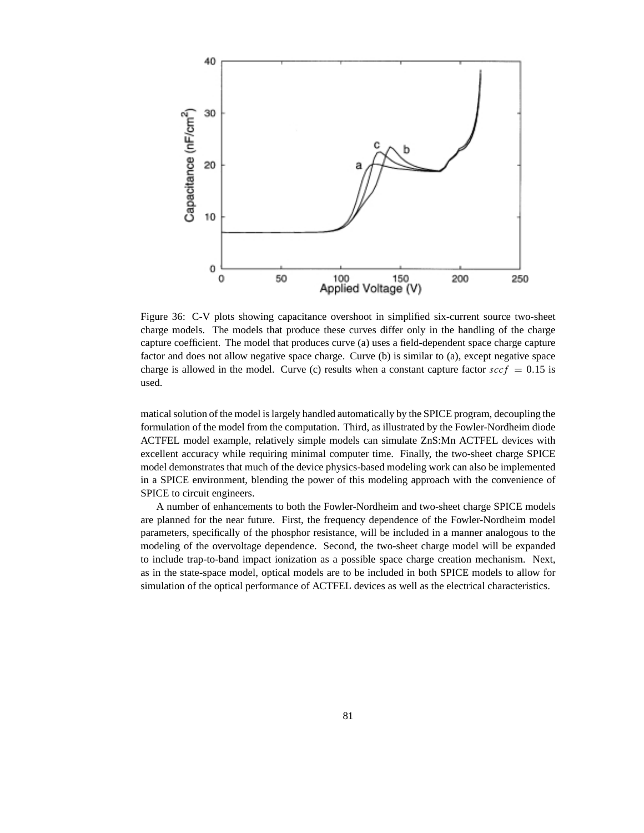

Figure 36: C-V plots showing capacitance overshoot in simplified six-current source two-sheet charge models. The models that produce these curves differ only in the handling of the charge capture coefficient. The model that produces curve (a) uses a field-dependent space charge capture factor and does not allow negative space charge. Curve (b) is similar to (a), except negative space charge is allowed in the model. Curve (c) results when a constant capture factor  $sccf = 0.15$  is used.

matical solution of the model is largely handled automatically by the SPICE program, decoupling the formulation of the model from the computation. Third, as illustrated by the Fowler-Nordheim diode ACTFEL model example, relatively simple models can simulate ZnS:Mn ACTFEL devices with excellent accuracy while requiring minimal computer time. Finally, the two-sheet charge SPICE model demonstrates that much of the device physics-based modeling work can also be implemented in a SPICE environment, blending the power of this modeling approach with the convenience of SPICE to circuit engineers.

A number of enhancements to both the Fowler-Nordheim and two-sheet charge SPICE models are planned for the near future. First, the frequency dependence of the Fowler-Nordheim model parameters, specifically of the phosphor resistance, will be included in a manner analogous to the modeling of the overvoltage dependence. Second, the two-sheet charge model will be expanded to include trap-to-band impact ionization as a possible space charge creation mechanism. Next, as in the state-space model, optical models are to be included in both SPICE models to allow for simulation of the optical performance of ACTFEL devices as well as the electrical characteristics.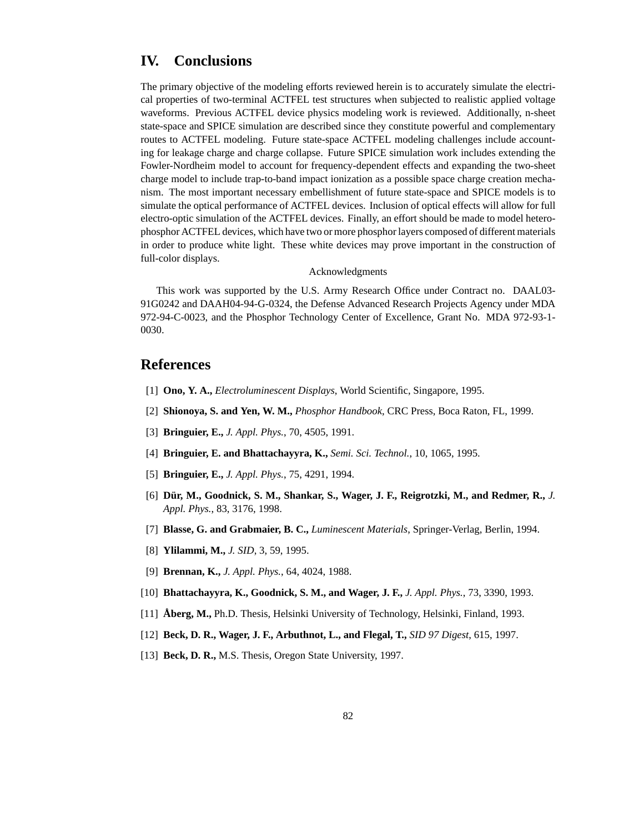### **IV. Conclusions**

The primary objective of the modeling efforts reviewed herein is to accurately simulate the electrical properties of two-terminal ACTFEL test structures when subjected to realistic applied voltage waveforms. Previous ACTFEL device physics modeling work is reviewed. Additionally, n-sheet state-space and SPICE simulation are described since they constitute powerful and complementary routes to ACTFEL modeling. Future state-space ACTFEL modeling challenges include accounting for leakage charge and charge collapse. Future SPICE simulation work includes extending the Fowler-Nordheim model to account for frequency-dependent effects and expanding the two-sheet charge model to include trap-to-band impact ionization as a possible space charge creation mechanism. The most important necessary embellishment of future state-space and SPICE models is to simulate the optical performance of ACTFEL devices. Inclusion of optical effects will allow for full electro-optic simulation of the ACTFEL devices. Finally, an effort should be made to model heterophosphor ACTFEL devices, which have two or more phosphor layers composed of different materials in order to produce white light. These white devices may prove important in the construction of full-color displays.

#### Acknowledgments

This work was supported by the U.S. Army Research Office under Contract no. DAAL03- 91G0242 and DAAH04-94-G-0324, the Defense Advanced Research Projects Agency under MDA 972-94-C-0023, and the Phosphor Technology Center of Excellence, Grant No. MDA 972-93-1- 0030.

### **References**

- [1] **Ono, Y. A.,** *Electroluminescent Displays*, World Scientific, Singapore, 1995.
- [2] **Shionoya, S. and Yen, W. M.,** *Phosphor Handbook*, CRC Press, Boca Raton, FL, 1999.
- [3] **Bringuier, E.,** *J. Appl. Phys.*, 70, 4505, 1991.
- [4] **Bringuier, E. and Bhattachayyra, K.,** *Semi. Sci. Technol.*, 10, 1065, 1995.
- [5] **Bringuier, E.,** *J. Appl. Phys.*, 75, 4291, 1994.
- [6] **Dür, M., Goodnick, S. M., Shankar, S., Wager, J. F., Reigrotzki, M., and Redmer, R.,** *J. Appl. Phys.*, 83, 3176, 1998.
- [7] **Blasse, G. and Grabmaier, B. C.,** *Luminescent Materials*, Springer-Verlag, Berlin, 1994.
- [8] **Ylilammi, M.,** *J. SID*, 3, 59, 1995.
- [9] **Brennan, K.,** *J. Appl. Phys.*, 64, 4024, 1988.
- [10] **Bhattachayyra, K., Goodnick, S. M., and Wager, J. F.,** *J. Appl. Phys.*, 73, 3390, 1993.
- [11] **Åberg, M.,** Ph.D. Thesis, Helsinki University of Technology, Helsinki, Finland, 1993.
- [12] **Beck, D. R., Wager, J. F., Arbuthnot, L., and Flegal, T.,** *SID 97 Digest*, 615, 1997.
- [13] **Beck, D. R.,** M.S. Thesis, Oregon State University, 1997.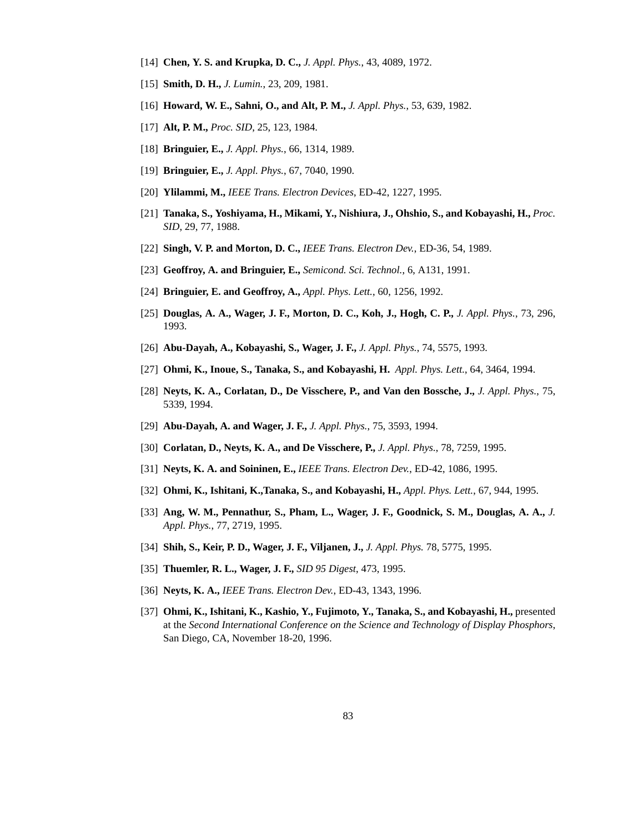- [14] **Chen, Y. S. and Krupka, D. C.,** *J. Appl. Phys.*, 43, 4089, 1972.
- [15] **Smith, D. H.,** *J. Lumin.*, 23, 209, 1981.
- [16] **Howard, W. E., Sahni, O., and Alt, P. M.,** *J. Appl. Phys.*, 53, 639, 1982.
- [17] **Alt, P. M.,** *Proc. SID*, 25, 123, 1984.
- [18] **Bringuier, E.,** *J. Appl. Phys.*, 66, 1314, 1989.
- [19] **Bringuier, E.,** *J. Appl. Phys.*, 67, 7040, 1990.
- [20] **Ylilammi, M.,** *IEEE Trans. Electron Devices*, ED-42, 1227, 1995.
- [21] **Tanaka, S., Yoshiyama, H., Mikami, Y., Nishiura, J., Ohshio, S., and Kobayashi, H.,** *Proc. SID*, 29, 77, 1988.
- [22] **Singh, V. P. and Morton, D. C.,** *IEEE Trans. Electron Dev.*, ED-36, 54, 1989.
- [23] **Geoffroy, A. and Bringuier, E.,** *Semicond. Sci. Technol.*, 6, A131, 1991.
- [24] **Bringuier, E. and Geoffroy, A.,** *Appl. Phys. Lett.*, 60, 1256, 1992.
- [25] **Douglas, A. A., Wager, J. F., Morton, D. C., Koh, J., Hogh, C. P.,** *J. Appl. Phys.*, 73, 296, 1993.
- [26] **Abu-Dayah, A., Kobayashi, S., Wager, J. F.,** *J. Appl. Phys.*, 74, 5575, 1993.
- [27] **Ohmi, K., Inoue, S., Tanaka, S., and Kobayashi, H.** *Appl. Phys. Lett.*, 64, 3464, 1994.
- [28] **Neyts, K. A., Corlatan, D., De Visschere, P., and Van den Bossche, J.,** *J. Appl. Phys.*, 75, 5339, 1994.
- [29] **Abu-Dayah, A. and Wager, J. F.,** *J. Appl. Phys.*, 75, 3593, 1994.
- [30] **Corlatan, D., Neyts, K. A., and De Visschere, P.,** *J. Appl. Phys.*, 78, 7259, 1995.
- [31] **Neyts, K. A. and Soininen, E.,** *IEEE Trans. Electron Dev.*, ED-42, 1086, 1995.
- [32] **Ohmi, K., Ishitani, K.,Tanaka, S., and Kobayashi, H.,** *Appl. Phys. Lett.*, 67, 944, 1995.
- [33] **Ang, W. M., Pennathur, S., Pham, L., Wager, J. F., Goodnick, S. M., Douglas, A. A.,** *J. Appl. Phys.*, 77, 2719, 1995.
- [34] **Shih, S., Keir, P. D., Wager, J. F., Viljanen, J.,** *J. Appl. Phys.* 78, 5775, 1995.
- [35] **Thuemler, R. L., Wager, J. F.,** *SID 95 Digest*, 473, 1995.
- [36] **Neyts, K. A.,** *IEEE Trans. Electron Dev.*, ED-43, 1343, 1996.
- [37] **Ohmi, K., Ishitani, K., Kashio, Y., Fujimoto, Y., Tanaka, S., and Kobayashi, H.,** presented at the *Second International Conference on the Science and Technology of Display Phosphors*, San Diego, CA, November 18-20, 1996.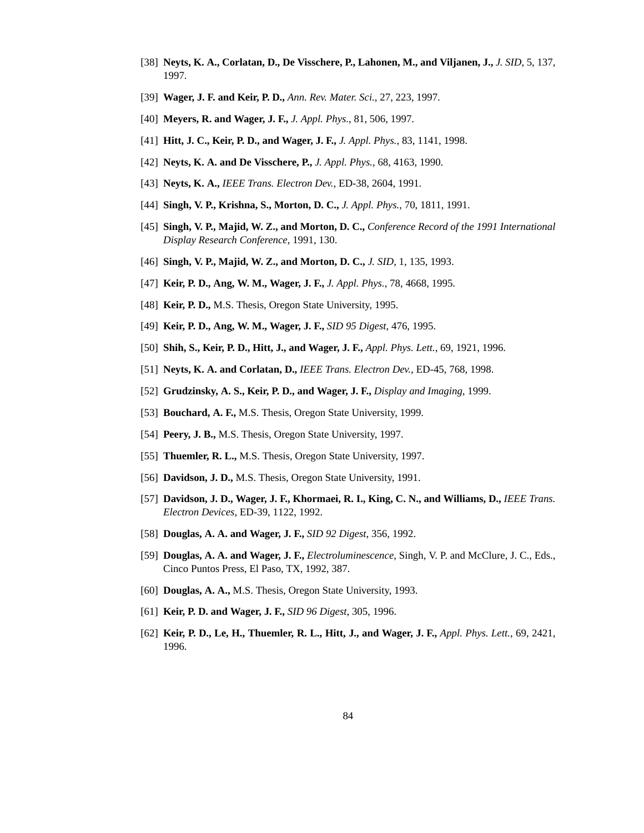- [38] **Neyts, K. A., Corlatan, D., De Visschere, P., Lahonen, M., and Viljanen, J.,** *J. SID*, 5, 137, 1997.
- [39] **Wager, J. F. and Keir, P. D.,** *Ann. Rev. Mater. Sci.*, 27, 223, 1997.
- [40] **Meyers, R. and Wager, J. F.,** *J. Appl. Phys.*, 81, 506, 1997.
- [41] **Hitt, J. C., Keir, P. D., and Wager, J. F.,** *J. Appl. Phys.*, 83, 1141, 1998.
- [42] **Neyts, K. A. and De Visschere, P.,** *J. Appl. Phys.*, 68, 4163, 1990.
- [43] **Neyts, K. A.,** *IEEE Trans. Electron Dev.*, ED-38, 2604, 1991.
- [44] **Singh, V. P., Krishna, S., Morton, D. C.,** *J. Appl. Phys.*, 70, 1811, 1991.
- [45] **Singh, V. P., Majid, W. Z., and Morton, D. C.,** *Conference Record of the 1991 International Display Research Conference*, 1991, 130.
- [46] **Singh, V. P., Majid, W. Z., and Morton, D. C.,** *J. SID*, 1, 135, 1993.
- [47] **Keir, P. D., Ang, W. M., Wager, J. F.,** *J. Appl. Phys.*, 78, 4668, 1995.
- [48] **Keir, P. D., M.S.** Thesis, Oregon State University, 1995.
- [49] **Keir, P. D., Ang, W. M., Wager, J. F.,** *SID 95 Digest*, 476, 1995.
- [50] **Shih, S., Keir, P. D., Hitt, J., and Wager, J. F.,** *Appl. Phys. Lett.*, 69, 1921, 1996.
- [51] **Neyts, K. A. and Corlatan, D.,** *IEEE Trans. Electron Dev.*, ED-45, 768, 1998.
- [52] **Grudzinsky, A. S., Keir, P. D., and Wager, J. F.,** *Display and Imaging*, 1999.
- [53] **Bouchard, A. F.,** M.S. Thesis, Oregon State University, 1999.
- [54] **Peery, J. B.,** M.S. Thesis, Oregon State University, 1997.
- [55] **Thuemler, R. L., M.S. Thesis, Oregon State University, 1997.**
- [56] **Davidson, J. D.,** M.S. Thesis, Oregon State University, 1991.
- [57] **Davidson, J. D., Wager, J. F., Khormaei, R. I., King, C. N., and Williams, D.,** *IEEE Trans. Electron Devices*, ED-39, 1122, 1992.
- [58] **Douglas, A. A. and Wager, J. F.,** *SID 92 Digest*, 356, 1992.
- [59] **Douglas, A. A. and Wager, J. F.,** *Electroluminescence*, Singh, V. P. and McClure, J. C., Eds., Cinco Puntos Press, El Paso, TX, 1992, 387.
- [60] **Douglas, A. A.,** M.S. Thesis, Oregon State University, 1993.
- [61] **Keir, P. D. and Wager, J. F.,** *SID 96 Digest*, 305, 1996.
- [62] **Keir, P. D., Le, H., Thuemler, R. L., Hitt, J., and Wager, J. F.,** *Appl. Phys. Lett.*, 69, 2421, 1996.